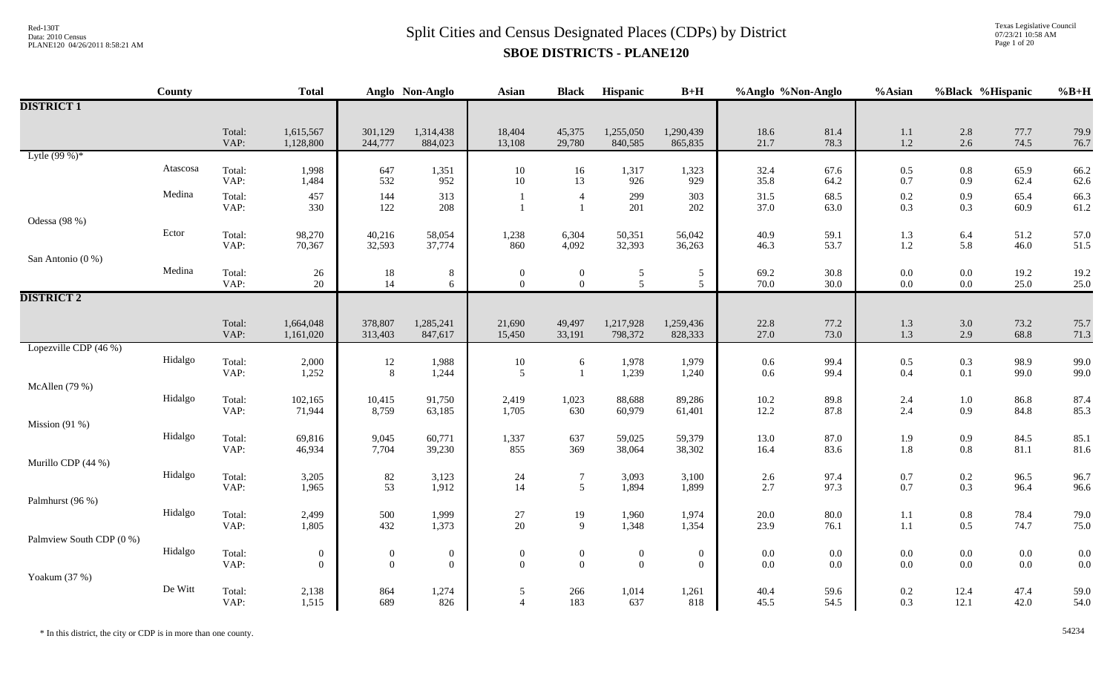Texas Legislative Council 07/23/21 10:58 AM Page 1 of 20

|                          | County   |                | <b>Total</b>                       |                                         | Anglo Non-Anglo                  | <b>Asian</b>                     | <b>Black</b>                       | Hispanic                         | $B+H$                              | %Anglo %Non-Anglo  |              | $%$ Asian          | %Black %Hispanic   |                    | $%B+H$         |
|--------------------------|----------|----------------|------------------------------------|-----------------------------------------|----------------------------------|----------------------------------|------------------------------------|----------------------------------|------------------------------------|--------------------|--------------|--------------------|--------------------|--------------------|----------------|
| <b>DISTRICT 1</b>        |          |                |                                    |                                         |                                  |                                  |                                    |                                  |                                    |                    |              |                    |                    |                    |                |
|                          |          | Total:<br>VAP: | 1,615,567<br>1,128,800             | 301,129<br>244,777                      | 1,314,438<br>884,023             | 18,404<br>13,108                 | 45,375<br>29,780                   | 1,255,050<br>840,585             | 1,290,439<br>865,835               | 18.6<br>21.7       | 81.4<br>78.3 | $1.1\,$<br>$1.2\,$ | 2.8<br>$2.6\,$     | 77.7<br>74.5       | 79.9<br>76.7   |
| Lytle $(99%)^*$          |          |                |                                    |                                         |                                  |                                  |                                    |                                  |                                    |                    |              |                    |                    |                    |                |
|                          | Atascosa | Total:<br>VAP: | 1,998<br>1,484                     | 647<br>532                              | 1,351<br>952                     | 10<br>$10\,$                     | 16<br>13                           | 1,317<br>926                     | 1,323<br>929                       | 32.4<br>35.8       | 67.6<br>64.2 | $0.5\,$<br>$0.7\,$ | 0.8<br>0.9         | 65.9<br>62.4       | 66.2<br>62.6   |
|                          | Medina   | Total:<br>VAP: | 457<br>330                         | 144<br>122                              | 313<br>208                       |                                  | $\overline{4}$                     | 299<br>201                       | 303<br>202                         | 31.5<br>37.0       | 68.5<br>63.0 | $0.2\,$<br>0.3     | 0.9<br>0.3         | 65.4<br>60.9       | 66.3<br>61.2   |
| Odessa (98 %)            |          |                |                                    |                                         |                                  |                                  |                                    |                                  |                                    |                    |              |                    |                    |                    |                |
|                          | Ector    | Total:<br>VAP: | 98,270<br>70,367                   | 40,216<br>32,593                        | 58,054<br>37,774                 | 1,238<br>860                     | 6,304<br>4,092                     | 50,351<br>32,393                 | 56,042<br>36,263                   | 40.9<br>46.3       | 59.1<br>53.7 | 1.3<br>$1.2\,$     | 6.4<br>5.8         | 51.2<br>46.0       | 57.0<br>51.5   |
| San Antonio (0 %)        |          |                |                                    |                                         |                                  |                                  |                                    |                                  |                                    |                    |              |                    |                    |                    |                |
|                          | Medina   | Total:<br>VAP: | 26<br>$20\,$                       | $\begin{array}{c} 18 \\ 14 \end{array}$ | 8<br>6                           | $\mathbf{0}$<br>$\Omega$         | $\boldsymbol{0}$<br>$\overline{0}$ | 5<br>$\mathfrak{S}$              | 5<br>$\sqrt{5}$                    | 69.2<br>70.0       | 30.8<br>30.0 | $0.0\,$<br>$0.0\,$ | $0.0\,$<br>0.0     | 19.2<br>25.0       | 19.2<br>25.0   |
| <b>DISTRICT 2</b>        |          |                |                                    |                                         |                                  |                                  |                                    |                                  |                                    |                    |              |                    |                    |                    |                |
|                          |          | Total:<br>VAP: | 1,664,048<br>1,161,020             | 378,807<br>313,403                      | 1,285,241<br>847,617             | 21,690<br>15,450                 | 49,497<br>33,191                   | 1,217,928<br>798,372             | 1,259,436<br>828,333               | 22.8<br>27.0       | 77.2<br>73.0 | $1.3\,$<br>1.3     | 3.0<br>2.9         | 73.2<br>68.8       | 75.7<br>71.3   |
| Lopezville CDP (46 %)    |          |                |                                    |                                         |                                  |                                  |                                    |                                  |                                    |                    |              |                    |                    |                    |                |
|                          | Hidalgo  | Total:<br>VAP: | 2,000<br>1,252                     | 12<br>$8\,$                             | 1,988<br>1,244                   | $10\,$<br>5                      | 6<br>$\mathbf{1}$                  | 1,978<br>1,239                   | 1,979<br>1,240                     | $0.6\,$<br>$0.6\,$ | 99.4<br>99.4 | $0.5\,$<br>$0.4\,$ | $0.3\,$<br>0.1     | 98.9<br>99.0       | 99.0<br>99.0   |
| McAllen (79 %)           |          |                |                                    |                                         |                                  |                                  |                                    |                                  |                                    |                    |              |                    |                    |                    |                |
|                          | Hidalgo  | Total:<br>VAP: | 102,165<br>71,944                  | 10,415<br>8,759                         | 91,750<br>63,185                 | 2,419<br>1,705                   | 1,023<br>630                       | 88,688<br>60,979                 | 89,286<br>61,401                   | $10.2\,$<br>12.2   | 89.8<br>87.8 | 2.4<br>2.4         | $1.0\,$<br>0.9     | 86.8<br>84.8       | 87.4<br>85.3   |
| Mission (91 %)           |          |                |                                    |                                         |                                  |                                  |                                    |                                  |                                    |                    |              |                    |                    |                    |                |
|                          | Hidalgo  | Total:<br>VAP: | 69,816<br>46,934                   | 9,045<br>7,704                          | 60,771<br>39,230                 | 1,337<br>855                     | 637<br>369                         | 59,025<br>38,064                 | 59,379<br>38,302                   | 13.0<br>16.4       | 87.0<br>83.6 | 1.9<br>1.8         | 0.9<br>$0.8\,$     | 84.5<br>81.1       | 85.1<br>81.6   |
| Murillo CDP (44 %)       |          |                |                                    |                                         |                                  |                                  |                                    |                                  |                                    |                    |              |                    |                    |                    |                |
|                          | Hidalgo  | Total:<br>VAP: | 3,205<br>1,965                     | 82<br>53                                | 3,123<br>1,912                   | 24<br>14                         | $\overline{7}$<br>5 <sup>5</sup>   | 3,093<br>1,894                   | 3,100<br>1,899                     | $2.6\,$<br>2.7     | 97.4<br>97.3 | $0.7\,$<br>$0.7\,$ | $0.2\,$<br>0.3     | 96.5<br>96.4       | 96.7<br>96.6   |
| Palmhurst (96 %)         |          |                |                                    |                                         |                                  |                                  |                                    |                                  |                                    |                    |              |                    |                    |                    |                |
|                          | Hidalgo  | Total:<br>VAP: | 2,499<br>1,805                     | 500<br>432                              | 1,999<br>1,373                   | $27\,$<br>20                     | 19<br>9                            | 1,960<br>1,348                   | 1,974<br>1,354                     | 20.0<br>23.9       | 80.0<br>76.1 | $1.1\,$<br>1.1     | $0.8\,$<br>0.5     | 78.4<br>74.7       | 79.0<br>75.0   |
| Palmview South CDP (0 %) |          |                |                                    |                                         |                                  |                                  |                                    |                                  |                                    |                    |              |                    |                    |                    |                |
|                          | Hidalgo  | Total:<br>VAP: | $\boldsymbol{0}$<br>$\overline{0}$ | $\boldsymbol{0}$<br>$\boldsymbol{0}$    | $\boldsymbol{0}$<br>$\mathbf{0}$ | $\boldsymbol{0}$<br>$\mathbf{0}$ | $\boldsymbol{0}$<br>$\overline{0}$ | $\boldsymbol{0}$<br>$\mathbf{0}$ | $\boldsymbol{0}$<br>$\overline{0}$ | 0.0<br>$0.0\,$     | 0.0<br>0.0   | $0.0\,$<br>$0.0\,$ | $0.0\,$<br>$0.0\,$ | $0.0\,$<br>$0.0\,$ | $0.0\,$<br>0.0 |
| Yoakum (37 %)            | De Witt  | Total:         | 2,138                              | 864                                     | 1,274                            | 5                                | 266                                | 1,014                            | 1,261                              | 40.4               | 59.6         | $0.2\,$            | 12.4               | 47.4               | 59.0           |
|                          |          | VAP:           | 1,515                              | 689                                     | 826                              | $\overline{4}$                   | 183                                | 637                              | 818                                | 45.5               | 54.5         | 0.3                | 12.1               | 42.0               | 54.0           |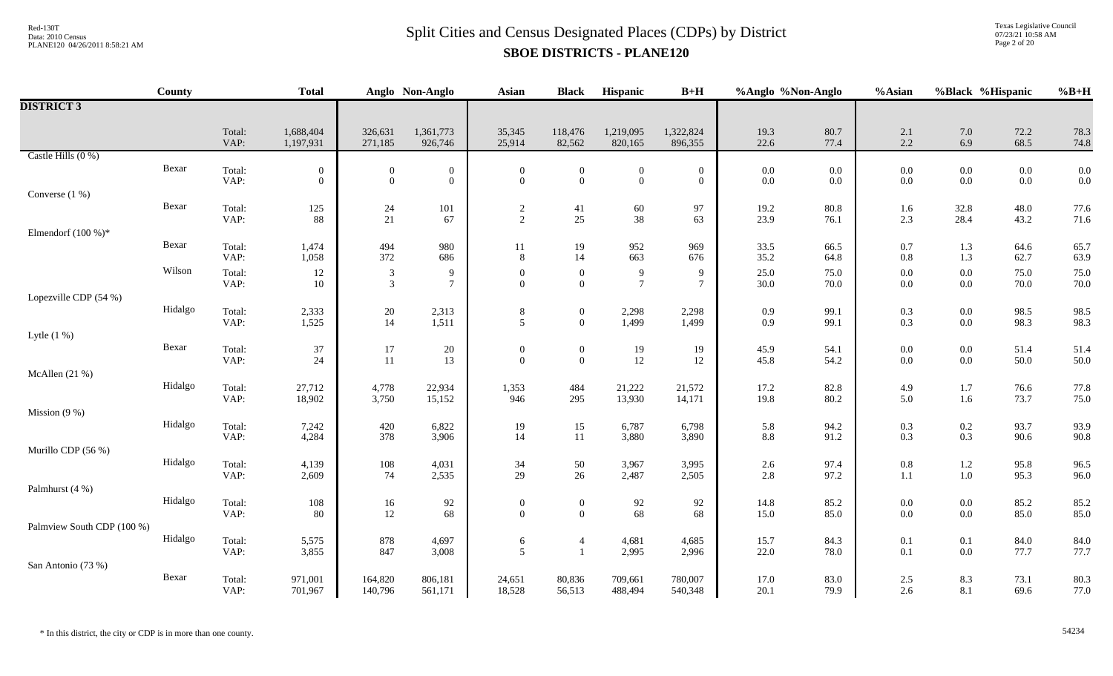Texas Legislative Council 07/23/21 10:58 AM Page 2 of 20

|                            | County  |                | <b>Total</b>                       |                                  | Anglo Non-Anglo                      | <b>Asian</b>                       | <b>Black</b>                     | Hispanic                         | $B+H$                              | %Anglo %Non-Anglo  |                  | %Asian             | %Black %Hispanic   |                    | $%B+H$       |
|----------------------------|---------|----------------|------------------------------------|----------------------------------|--------------------------------------|------------------------------------|----------------------------------|----------------------------------|------------------------------------|--------------------|------------------|--------------------|--------------------|--------------------|--------------|
| <b>DISTRICT 3</b>          |         |                |                                    |                                  |                                      |                                    |                                  |                                  |                                    |                    |                  |                    |                    |                    |              |
|                            |         | Total:<br>VAP: | 1,688,404<br>1,197,931             | 326,631<br>271,185               | 1,361,773<br>926,746                 | 35,345<br>25,914                   | 118,476<br>82,562                | 1,219,095<br>820,165             | 1,322,824<br>896,355               | 19.3<br>22.6       | 80.7<br>77.4     | $2.1\,$<br>2.2     | 7.0<br>6.9         | 72.2<br>68.5       | 78.3<br>74.8 |
| Castle Hills (0 %)         |         |                |                                    |                                  |                                      |                                    |                                  |                                  |                                    |                    |                  |                    |                    |                    |              |
|                            | Bexar   | Total:<br>VAP: | $\boldsymbol{0}$<br>$\overline{0}$ | $\mathbf{0}$<br>$\overline{0}$   | $\boldsymbol{0}$<br>$\boldsymbol{0}$ | $\theta$<br>$\mathbf{0}$           | $\overline{0}$<br>$\overline{0}$ | $\boldsymbol{0}$<br>$\mathbf{0}$ | $\boldsymbol{0}$<br>$\overline{0}$ | $0.0\,$<br>$0.0\,$ | 0.0<br>0.0       | $0.0\,$<br>$0.0\,$ | $0.0\,$<br>0.0     | $0.0\,$<br>$0.0\,$ | 0.0<br>0.0   |
| Converse (1 %)             |         |                |                                    |                                  |                                      |                                    |                                  |                                  |                                    |                    |                  |                    |                    |                    |              |
|                            | Bexar   | Total:<br>VAP: | 125<br>88                          | 24<br>21                         | 101<br>67                            | $\overline{2}$<br>$\overline{2}$   | 41<br>25                         | 60<br>38                         | 97<br>63                           | 19.2<br>23.9       | $80.8\,$<br>76.1 | 1.6<br>2.3         | 32.8<br>28.4       | 48.0<br>43.2       | 77.6<br>71.6 |
| Elmendorf $(100\%)$ *      |         |                |                                    |                                  |                                      |                                    |                                  |                                  |                                    |                    |                  |                    |                    |                    |              |
|                            | Bexar   | Total:<br>VAP: | 1,474<br>1,058                     | 494<br>372                       | 980<br>686                           | 11<br>8                            | 19<br>14                         | 952<br>663                       | 969<br>676                         | 33.5<br>35.2       | 66.5<br>64.8     | $0.7\,$<br>$0.8\,$ | 1.3<br>1.3         | 64.6<br>62.7       | 65.7<br>63.9 |
|                            | Wilson  | Total:<br>VAP: | 12<br>10                           | $\mathfrak{Z}$<br>$\mathfrak{Z}$ | 9<br>$\overline{7}$                  | $\theta$<br>$\Omega$               | $\overline{0}$<br>$\overline{0}$ | $\overline{9}$<br>$\tau$         | 9<br>$\tau$                        | 25.0<br>30.0       | 75.0<br>70.0     | $0.0\,$<br>$0.0\,$ | $0.0\,$<br>$0.0\,$ | 75.0<br>70.0       | 75.0<br>70.0 |
| Lopezville CDP (54 %)      |         |                |                                    |                                  |                                      |                                    |                                  |                                  |                                    |                    |                  |                    |                    |                    |              |
|                            | Hidalgo | Total:<br>VAP: | 2,333<br>1,525                     | $20\,$<br>14                     | 2,313<br>1,511                       | 8<br>5                             | $\overline{0}$<br>$\overline{0}$ | 2,298<br>1,499                   | 2,298<br>1,499                     | 0.9<br>0.9         | 99.1<br>99.1     | 0.3<br>0.3         | $0.0\,$<br>0.0     | 98.5<br>98.3       | 98.5<br>98.3 |
| Lytle $(1\%)$              |         |                |                                    |                                  |                                      |                                    |                                  |                                  |                                    |                    |                  |                    |                    |                    |              |
|                            | Bexar   | Total:<br>VAP: | 37<br>24                           | 17<br>11                         | 20<br>13                             | $\boldsymbol{0}$<br>$\mathbf{0}$   | $\mathbf{0}$<br>$\overline{0}$   | 19<br>$12\,$                     | 19<br>12                           | 45.9<br>45.8       | 54.1<br>54.2     | $0.0\,$<br>$0.0\,$ | $0.0\,$<br>0.0     | 51.4<br>50.0       | 51.4<br>50.0 |
| McAllen $(21%)$            |         |                |                                    |                                  |                                      |                                    |                                  |                                  |                                    |                    |                  |                    |                    |                    |              |
|                            | Hidalgo | Total:<br>VAP: | 27,712<br>18,902                   | 4,778<br>3,750                   | 22,934<br>15,152                     | 1,353<br>946                       | 484<br>295                       | 21,222<br>13,930                 | 21,572<br>14,171                   | 17.2<br>19.8       | 82.8<br>80.2     | 4.9<br>5.0         | 1.7<br>1.6         | 76.6<br>73.7       | 77.8<br>75.0 |
| Mission $(9\%)$            |         |                |                                    |                                  |                                      |                                    |                                  |                                  |                                    |                    |                  |                    |                    |                    |              |
|                            | Hidalgo | Total:<br>VAP: | 7,242<br>4,284                     | 420<br>378                       | 6,822<br>3,906                       | 19<br>14                           | 15<br>11                         | 6,787<br>3,880                   | 6,798<br>3,890                     | 5.8<br>$8.8\,$     | 94.2<br>91.2     | 0.3<br>0.3         | $0.2\,$<br>0.3     | 93.7<br>90.6       | 93.9<br>90.8 |
| Murillo CDP (56 %)         |         |                |                                    |                                  |                                      |                                    |                                  |                                  |                                    |                    |                  |                    |                    |                    |              |
|                            | Hidalgo | Total:<br>VAP: | 4,139<br>2,609                     | 108<br>74                        | 4,031<br>2,535                       | 34<br>29                           | 50<br>26                         | 3,967<br>2,487                   | 3,995<br>2,505                     | $2.6\,$<br>2.8     | 97.4<br>97.2     | $0.8\,$<br>$1.1\,$ | $1.2\,$<br>$1.0\,$ | 95.8<br>95.3       | 96.5<br>96.0 |
| Palmhurst (4 %)            |         |                |                                    |                                  |                                      |                                    |                                  |                                  |                                    |                    |                  |                    |                    |                    |              |
|                            | Hidalgo | Total:<br>VAP: | 108<br>80                          | 16<br>12                         | $92\,$<br>68                         | $\boldsymbol{0}$<br>$\overline{0}$ | $\mathbf{0}$<br>$\overline{0}$   | $92\,$<br>68                     | 92<br>68                           | 14.8<br>15.0       | 85.2<br>85.0     | $0.0\,$<br>$0.0\,$ | $0.0\,$<br>0.0     | 85.2<br>85.0       | 85.2<br>85.0 |
| Palmview South CDP (100 %) |         |                |                                    |                                  |                                      |                                    |                                  |                                  |                                    |                    |                  |                    |                    |                    |              |
|                            | Hidalgo | Total:<br>VAP: | 5,575<br>3,855                     | 878<br>847                       | 4,697<br>3,008                       | 6<br>5                             | $\overline{4}$<br>$\overline{1}$ | 4,681<br>2,995                   | 4,685<br>2,996                     | 15.7<br>22.0       | 84.3<br>78.0     | 0.1<br>0.1         | 0.1<br>0.0         | 84.0<br>77.7       | 84.0<br>77.7 |
| San Antonio (73 %)         |         |                |                                    |                                  |                                      |                                    |                                  |                                  |                                    |                    |                  |                    |                    |                    |              |
|                            | Bexar   | Total:<br>VAP: | 971,001<br>701,967                 | 164,820<br>140,796               | 806,181<br>561,171                   | 24,651<br>18,528                   | 80,836<br>56,513                 | 709,661<br>488,494               | 780,007<br>540,348                 | 17.0<br>20.1       | 83.0<br>79.9     | 2.5<br>2.6         | 8.3<br>8.1         | 73.1<br>69.6       | 80.3<br>77.0 |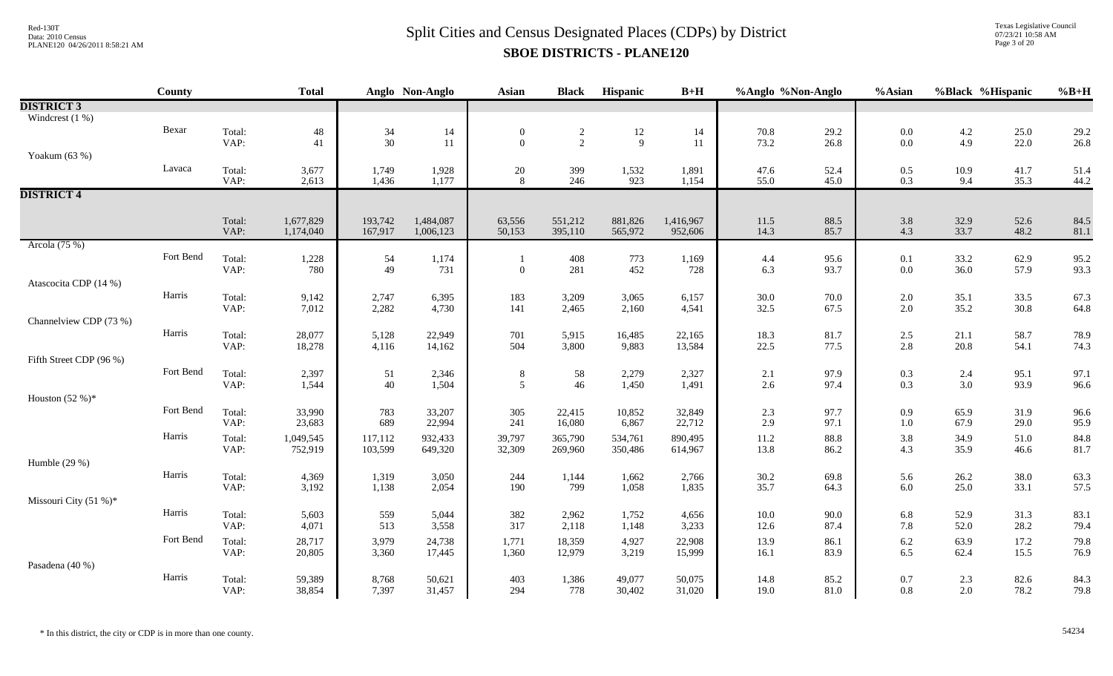Texas Legislative Council 07/23/21 10:58 AM Page 3 of 20

|                         | County    |                | <b>Total</b>   |                | Anglo Non-Anglo | Asian            | <b>Black</b>   | Hispanic       | $B+H$          | %Anglo %Non-Anglo |              | %Asian     | %Black %Hispanic |              | $%B+H$       |
|-------------------------|-----------|----------------|----------------|----------------|-----------------|------------------|----------------|----------------|----------------|-------------------|--------------|------------|------------------|--------------|--------------|
| <b>DISTRICT 3</b>       |           |                |                |                |                 |                  |                |                |                |                   |              |            |                  |              |              |
| Windcrest $(1\%)$       |           |                |                |                |                 |                  |                |                |                |                   |              |            |                  |              |              |
|                         | Bexar     | Total:         | $\sqrt{48}$    | 34             | 14              | $\boldsymbol{0}$ | $\frac{2}{2}$  | 12             | 14             | 70.8              | 29.2         | $0.0\,$    | $4.2$<br>$4.9$   | 25.0         | 29.2         |
|                         |           | VAP:           | 41             | $30\,$         | $11\,$          | $\overline{0}$   |                | 9              | 11             | 73.2              | 26.8         | 0.0        |                  | 22.0         | 26.8         |
| Yoakum (63 %)           |           |                |                |                |                 |                  |                |                |                |                   |              |            |                  |              |              |
|                         | Lavaca    | Total:<br>VAP: | 3,677          | 1,749<br>1,436 | 1,928<br>1,177  | 20<br>8          | 399<br>246     | 1,532<br>923   | 1,891<br>1,154 | 47.6<br>55.0      | 52.4<br>45.0 | 0.5<br>0.3 | 10.9<br>9.4      | 41.7<br>35.3 | 51.4<br>44.2 |
| <b>DISTRICT 4</b>       |           |                | 2,613          |                |                 |                  |                |                |                |                   |              |            |                  |              |              |
|                         |           |                |                |                |                 |                  |                |                |                |                   |              |            |                  |              |              |
|                         |           | Total:         | 1,677,829      | 193,742        | 1,484,087       | 63,556           | 551,212        | 881,826        | 1,416,967      | 11.5              | 88.5         | 3.8        | 32.9             | 52.6         | 84.5         |
|                         |           | VAP:           | 1,174,040      | 167,917        | 1,006,123       | 50,153           | 395,110        | 565,972        | 952,606        | 14.3              | 85.7         | 4.3        | 33.7             | 48.2         | 81.1         |
| Arcola (75 %)           |           |                |                |                |                 |                  |                |                |                |                   |              |            |                  |              |              |
|                         | Fort Bend | Total:         | 1,228          | 54             | 1,174           |                  | 408            | 773            | 1,169          | 4.4               | 95.6         | 0.1        | 33.2             | 62.9         | 95.2         |
|                         |           | VAP:           | 780            | 49             | 731             | $\boldsymbol{0}$ | 281            | 452            | 728            | 6.3               | 93.7         | $0.0\,$    | 36.0             | 57.9         | 93.3         |
| Atascocita CDP (14 %)   |           |                |                |                |                 |                  |                |                |                |                   |              |            |                  |              |              |
|                         | Harris    | Total:<br>VAP: | 9,142<br>7,012 | 2,747<br>2,282 | 6,395<br>4,730  | 183<br>141       | 3,209<br>2,465 | 3,065<br>2,160 | 6,157<br>4,541 | 30.0<br>32.5      | 70.0<br>67.5 | 2.0<br>2.0 | 35.1<br>35.2     | 33.5<br>30.8 | 67.3<br>64.8 |
| Channelview CDP (73 %)  |           |                |                |                |                 |                  |                |                |                |                   |              |            |                  |              |              |
|                         | Harris    | Total:         | 28,077         | 5,128          | 22,949          | 701              | 5,915          | 16,485         | 22,165         | 18.3              | 81.7         | 2.5        | 21.1             | 58.7         | 78.9         |
|                         |           | VAP:           | 18,278         | 4,116          | 14,162          | 504              | 3,800          | 9,883          | 13,584         | 22.5              | 77.5         | 2.8        | 20.8             | 54.1         | 74.3         |
| Fifth Street CDP (96 %) |           |                |                |                |                 |                  |                |                |                |                   |              |            |                  |              |              |
|                         | Fort Bend | Total:         | 2,397          | 51             | 2,346           | $\,8\,$          | 58             | 2,279          | 2,327          | 2.1               | 97.9         | 0.3        | 2.4              | 95.1         | 97.1         |
|                         |           | VAP:           | 1,544          | 40             | 1,504           | 5                | 46             | 1,450          | 1,491          | 2.6               | 97.4         | 0.3        | 3.0              | 93.9         | 96.6         |
| Houston $(52%)^*$       |           |                |                |                |                 |                  |                |                |                |                   |              |            |                  |              |              |
|                         | Fort Bend | Total:         | 33,990         | 783            | 33,207          | 305              | 22,415         | 10,852         | 32,849         | 2.3               | 97.7         | 0.9        | 65.9             | 31.9         | 96.6         |
|                         |           | VAP:           | 23,683         | 689            | 22,994          | 241              | 16,080         | 6,867          | 22,712         | 2.9               | 97.1         | $1.0\,$    | 67.9             | 29.0         | 95.9         |
|                         | Harris    | Total:         | 1,049,545      | 117,112        | 932,433         | 39,797           | 365,790        | 534,761        | 890,495        | $11.2\,$          | 88.8<br>86.2 | 3.8<br>4.3 | 34.9<br>35.9     | 51.0<br>46.6 | 84.8         |
| Humble $(29%)$          |           | VAP:           | 752,919        | 103,599        | 649,320         | 32,309           | 269,960        | 350,486        | 614,967        | 13.8              |              |            |                  |              | 81.7         |
|                         | Harris    | Total:         | 4,369          | 1,319          | 3,050           | 244              | 1,144          | 1,662          | 2,766          | 30.2              | 69.8         | 5.6        | 26.2             | 38.0         | 63.3         |
|                         |           | VAP:           | 3,192          | 1,138          | 2,054           | 190              | 799            | 1,058          | 1,835          | 35.7              | 64.3         | 6.0        | 25.0             | 33.1         | 57.5         |
| Missouri City (51 %)*   |           |                |                |                |                 |                  |                |                |                |                   |              |            |                  |              |              |
|                         | Harris    | Total:         | 5,603          | 559            | 5,044           | 382              | 2,962          | 1,752          | 4,656          | $10.0\,$          | 90.0         | 6.8        | 52.9             | 31.3         | 83.1         |
|                         |           | VAP:           | 4,071          | 513            | 3,558           | 317              | 2,118          | 1,148          | 3,233          | 12.6              | 87.4         | 7.8        | 52.0             | 28.2         | 79.4         |
|                         | Fort Bend | Total:         | 28,717         | 3,979          | 24,738          | 1,771            | 18,359         | 4,927          | 22,908         | 13.9              | 86.1         | $6.2\,$    | 63.9             | 17.2         | 79.8         |
|                         |           | VAP:           | 20,805         | 3,360          | 17,445          | 1,360            | 12,979         | 3,219          | 15,999         | 16.1              | 83.9         | 6.5        | 62.4             | 15.5         | 76.9         |
| Pasadena (40 %)         |           |                |                |                |                 |                  |                |                |                |                   |              |            |                  |              |              |
|                         | Harris    | Total:         | 59,389         | 8,768          | 50,621          | 403              | 1,386          | 49,077         | 50,075         | 14.8              | 85.2         | 0.7        | 2.3              | 82.6         | 84.3         |
|                         |           | VAP:           | 38,854         | 7,397          | 31,457          | 294              | 778            | 30,402         | 31,020         | 19.0              | 81.0         | 0.8        | 2.0              | 78.2         | 79.8         |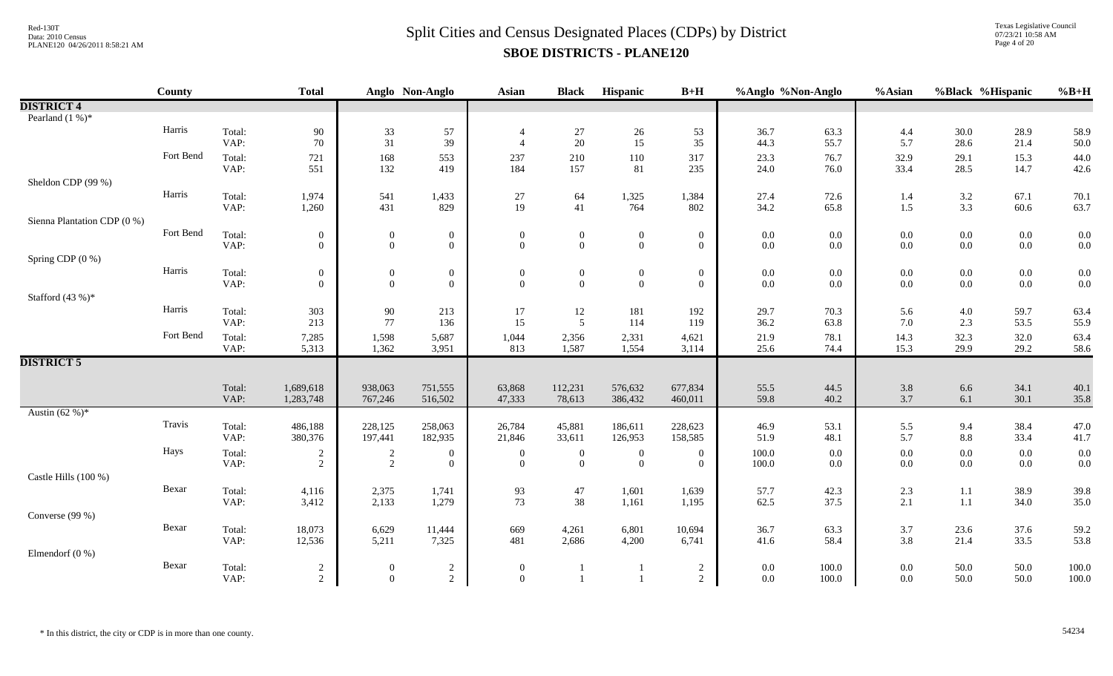Texas Legislative Council 07/23/21 10:58 AM Page 4 of 20

|                             | County    |                | <b>Total</b>                       |                                      | Anglo Non-Anglo                    | <b>Asian</b>                       | <b>Black</b>                       | Hispanic                           | $B+H$                              | %Anglo %Non-Anglo |                | %Asian             | %Black %Hispanic   |                    | $%B+H$         |
|-----------------------------|-----------|----------------|------------------------------------|--------------------------------------|------------------------------------|------------------------------------|------------------------------------|------------------------------------|------------------------------------|-------------------|----------------|--------------------|--------------------|--------------------|----------------|
| <b>DISTRICT 4</b>           |           |                |                                    |                                      |                                    |                                    |                                    |                                    |                                    |                   |                |                    |                    |                    |                |
| Pearland $(1\%)^*$          |           |                |                                    |                                      |                                    |                                    |                                    |                                    |                                    |                   |                |                    |                    |                    |                |
|                             | Harris    | Total:<br>VAP: | 90<br>70                           | 33<br>31                             | 57<br>39                           | $\overline{4}$<br>$\overline{4}$   | $27\,$<br>20                       | $26\,$<br>15                       | 53<br>35                           | 36.7<br>44.3      | 63.3<br>55.7   | 4.4<br>5.7         | $30.0\,$<br>28.6   | 28.9<br>21.4       | 58.9<br>50.0   |
|                             | Fort Bend | Total:<br>VAP: | 721<br>551                         | 168<br>132                           | 553<br>419                         | 237<br>184                         | 210<br>157                         | 110<br>81                          | 317<br>235                         | 23.3<br>24.0      | 76.7<br>76.0   | 32.9<br>33.4       | 29.1<br>28.5       | 15.3<br>14.7       | 44.0<br>42.6   |
| Sheldon CDP (99 %)          |           |                |                                    |                                      |                                    |                                    |                                    |                                    |                                    |                   |                |                    |                    |                    |                |
|                             | Harris    | Total:<br>VAP: | 1,974<br>1,260                     | 541<br>431                           | 1,433<br>829                       | 27<br>19                           | 64<br>41                           | 1,325<br>764                       | 1,384<br>802                       | 27.4<br>34.2      | 72.6<br>65.8   | 1.4<br>1.5         | $3.2\,$<br>3.3     | 67.1<br>60.6       | 70.1<br>63.7   |
| Sienna Plantation CDP (0 %) |           |                |                                    |                                      |                                    |                                    |                                    |                                    |                                    |                   |                |                    |                    |                    |                |
|                             | Fort Bend | Total:<br>VAP: | $\boldsymbol{0}$<br>$\overline{0}$ | $\boldsymbol{0}$<br>$\boldsymbol{0}$ | $\boldsymbol{0}$<br>$\overline{0}$ | $\mathbf{0}$<br>$\overline{0}$     | $\boldsymbol{0}$<br>$\overline{0}$ | $\boldsymbol{0}$<br>$\overline{0}$ | $\boldsymbol{0}$<br>$\overline{0}$ | 0.0<br>0.0        | 0.0<br>0.0     | $0.0\,$<br>$0.0\,$ | $0.0\,$<br>$0.0\,$ | $0.0\,$<br>$0.0\,$ | 0.0<br>0.0     |
| Spring CDP (0 %)            |           |                |                                    |                                      |                                    |                                    |                                    |                                    |                                    |                   |                |                    |                    |                    |                |
|                             | Harris    | Total:<br>VAP: | $\overline{0}$<br>$\overline{0}$   | $\boldsymbol{0}$<br>$\boldsymbol{0}$ | $\boldsymbol{0}$<br>$\mathbf{0}$   | $\mathbf{0}$<br>$\theta$           | $\boldsymbol{0}$<br>$\mathbf{0}$   | $\boldsymbol{0}$<br>$\mathbf{0}$   | $\mathbf{0}$<br>$\mathbf{0}$       | 0.0<br>$0.0\,$    | 0.0<br>0.0     | 0.0<br>$0.0\,$     | $0.0\,$<br>$0.0\,$ | $0.0\,$<br>$0.0\,$ | 0.0<br>0.0     |
| Stafford $(43%)$ *          |           |                |                                    |                                      |                                    |                                    |                                    |                                    |                                    |                   |                |                    |                    |                    |                |
|                             | Harris    | Total:<br>VAP: | 303<br>213                         | $90\,$<br>77                         | 213<br>136                         | 17<br>15                           | 12<br>5                            | 181<br>114                         | 192<br>119                         | 29.7<br>36.2      | 70.3<br>63.8   | 5.6<br>7.0         | $4.0\,$<br>2.3     | 59.7<br>53.5       | 63.4<br>55.9   |
|                             | Fort Bend | Total:<br>VAP: | 7,285<br>5,313                     | 1,598<br>1,362                       | 5,687<br>3,951                     | 1,044<br>813                       | 2,356<br>1,587                     | 2,331<br>1,554                     | 4,621<br>3,114                     | 21.9<br>25.6      | 78.1<br>74.4   | 14.3<br>15.3       | 32.3<br>29.9       | 32.0<br>29.2       | 63.4<br>58.6   |
| <b>DISTRICT 5</b>           |           |                |                                    |                                      |                                    |                                    |                                    |                                    |                                    |                   |                |                    |                    |                    |                |
|                             |           | Total:<br>VAP: | 1,689,618<br>1,283,748             | 938,063<br>767,246                   | 751,555<br>516,502                 | 63,868<br>47,333                   | 112,231<br>78,613                  | 576,632<br>386,432                 | 677,834<br>460,011                 | 55.5<br>59.8      | 44.5<br>40.2   | $3.8\,$<br>3.7     | $6.6\,$<br>6.1     | 34.1<br>30.1       | 40.1<br>35.8   |
| Austin $(62\%)^*$           |           |                |                                    |                                      |                                    |                                    |                                    |                                    |                                    |                   |                |                    |                    |                    |                |
|                             | Travis    | Total:<br>VAP: | 486,188<br>380,376                 | 228,125<br>197,441                   | 258,063<br>182,935                 | 26,784<br>21,846                   | 45,881<br>33,611                   | 186,611<br>126,953                 | 228,623<br>158,585                 | 46.9<br>51.9      | 53.1<br>48.1   | 5.5<br>5.7         | 9.4<br>$8.8\,$     | 38.4<br>33.4       | 47.0<br>41.7   |
|                             | Hays      | Total:<br>VAP: | 2<br>$\overline{2}$                | $\overline{c}$<br>2                  | $\boldsymbol{0}$<br>$\theta$       | $\boldsymbol{0}$<br>$\overline{0}$ | $\mathbf{0}$<br>$\overline{0}$     | $\boldsymbol{0}$<br>$\overline{0}$ | $\mathbf{0}$<br>$\overline{0}$     | 100.0<br>100.0    | 0.0<br>0.0     | $0.0\,$<br>0.0     | $0.0\,$<br>$0.0\,$ | $0.0\,$<br>$0.0\,$ | 0.0<br>0.0     |
| Castle Hills (100 %)        |           |                |                                    |                                      |                                    |                                    |                                    |                                    |                                    |                   |                |                    |                    |                    |                |
|                             | Bexar     | Total:<br>VAP: | 4,116<br>3,412                     | 2,375<br>2,133                       | 1,741<br>1,279                     | 93<br>73                           | 47<br>38                           | 1,601<br>1,161                     | 1,639<br>1,195                     | 57.7<br>62.5      | 42.3<br>37.5   | $2.3\,$<br>2.1     | $1.1\,$<br>$1.1\,$ | 38.9<br>34.0       | 39.8<br>35.0   |
| Converse (99 %)             |           |                |                                    |                                      |                                    |                                    |                                    |                                    |                                    |                   |                |                    |                    |                    |                |
|                             | Bexar     | Total:<br>VAP: | 18,073<br>12,536                   | 6,629<br>5,211                       | 11,444<br>7,325                    | 669<br>481                         | 4,261<br>2,686                     | 6,801<br>4,200                     | 10,694<br>6,741                    | 36.7<br>41.6      | 63.3<br>58.4   | 3.7<br>3.8         | 23.6<br>21.4       | 37.6<br>33.5       | 59.2<br>53.8   |
| Elmendorf $(0\%)$           |           |                |                                    |                                      |                                    |                                    |                                    |                                    |                                    |                   |                |                    |                    |                    |                |
|                             | Bexar     | Total:<br>VAP: | $\overline{2}$<br>$\overline{2}$   | $\overline{0}$<br>$\Omega$           | $\overline{c}$<br>2                | $\overline{0}$<br>$\theta$         | $\overline{1}$                     |                                    | $\overline{c}$<br>$\overline{2}$   | 0.0<br>0.0        | 100.0<br>100.0 | $0.0\,$<br>0.0     | 50.0<br>50.0       | 50.0<br>50.0       | 100.0<br>100.0 |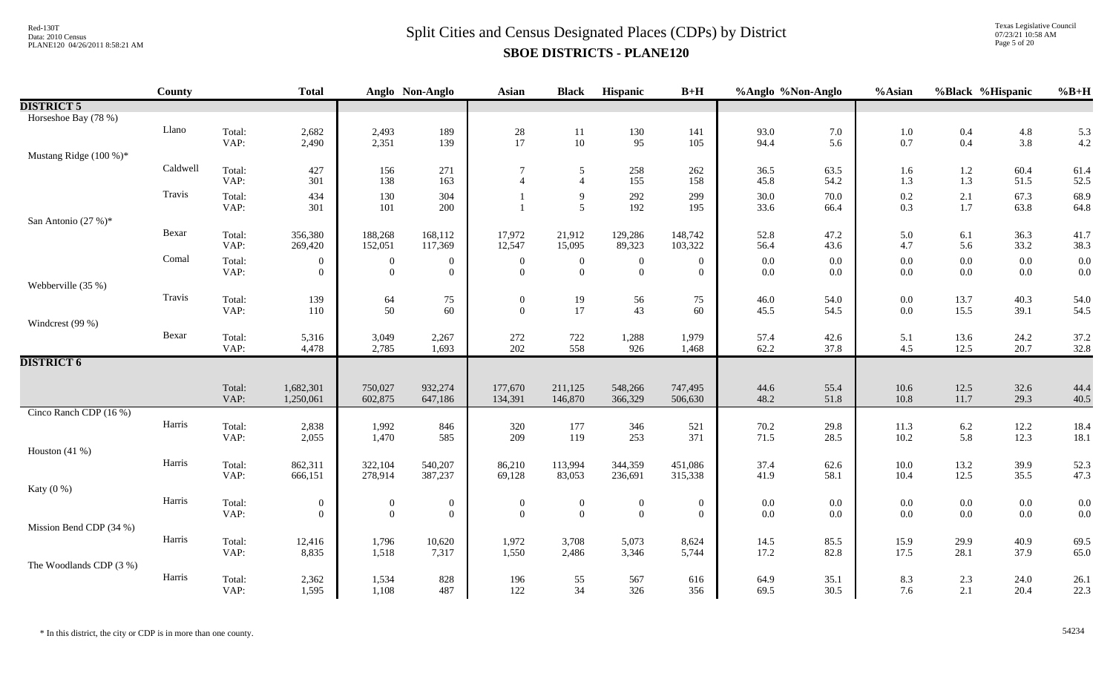Texas Legislative Council 07/23/21 10:58 AM Page 5 of 20

|                         | <b>County</b> |                | <b>Total</b>       |                      | Anglo Non-Anglo                | <b>Asian</b>                     | <b>Black</b>                       | Hispanic                       | $B+H$                            | %Anglo %Non-Anglo |              | %Asian       | %Black %Hispanic |              | $%B+H$       |
|-------------------------|---------------|----------------|--------------------|----------------------|--------------------------------|----------------------------------|------------------------------------|--------------------------------|----------------------------------|-------------------|--------------|--------------|------------------|--------------|--------------|
| <b>DISTRICT 5</b>       |               |                |                    |                      |                                |                                  |                                    |                                |                                  |                   |              |              |                  |              |              |
| Horseshoe Bay (78 %)    |               |                |                    |                      |                                |                                  |                                    |                                |                                  |                   |              |              |                  |              |              |
|                         | Llano         | Total:         | 2,682              | 2,493                | 189                            | $\frac{28}{17}$                  | $11\,$                             | 130                            | 141                              | 93.0              | 7.0          | 1.0          | $0.4\,$          | 4.8          | 5.3          |
|                         |               | VAP:           | 2,490              | 2,351                | 139                            |                                  | 10                                 | 95                             | 105                              | 94.4              | 5.6          | 0.7          | $0.4\,$          | 3.8          | 4.2          |
| Mustang Ridge (100 %)*  |               |                |                    |                      |                                |                                  |                                    |                                |                                  |                   |              |              |                  |              |              |
|                         | Caldwell      | Total:         | 427                | 156                  | 271                            | $\tau$                           | 5                                  | 258                            | 262                              | 36.5              | 63.5         | 1.6          | 1.2              | 60.4         | 61.4         |
|                         |               | VAP:           | 301                | 138                  | 163                            | $\overline{4}$                   | $\overline{4}$                     | 155                            | 158                              | 45.8              | 54.2         | 1.3          | 1.3              | 51.5         | 52.5         |
|                         | Travis        | Total:         | 434                | 130                  | 304                            |                                  | 9                                  | 292                            | 299                              | 30.0              | 70.0         | 0.2          | $2.1\,$          | 67.3         | 68.9         |
|                         |               | VAP:           | 301                | 101                  | 200                            |                                  | 5                                  | 192                            | 195                              | 33.6              | 66.4         | 0.3          | 1.7              | 63.8         | 64.8         |
| San Antonio (27 %)*     | Bexar         |                |                    |                      |                                |                                  |                                    |                                |                                  |                   |              |              |                  |              |              |
|                         |               | Total:<br>VAP: | 356,380<br>269,420 | 188,268<br>152,051   | 168,112<br>117,369             | 17,972<br>12,547                 | 21,912<br>15,095                   | 129,286<br>89,323              | 148,742<br>103,322               | 52.8<br>56.4      | 47.2<br>43.6 | 5.0<br>4.7   | 6.1<br>5.6       | 36.3<br>33.2 | 41.7<br>38.3 |
|                         | Comal         | Total:         | $\Omega$           |                      |                                |                                  |                                    |                                |                                  | $0.0\,$           | 0.0          | 0.0          | $0.0\,$          | $0.0\,$      | 0.0          |
|                         |               | VAP:           | $\Omega$           | $\theta$<br>$\Omega$ | $\overline{0}$<br>$\mathbf{0}$ | $\overline{0}$<br>$\overline{0}$ | $\boldsymbol{0}$<br>$\overline{0}$ | $\mathbf{0}$<br>$\overline{0}$ | $\overline{0}$<br>$\overline{0}$ | $0.0\,$           | 0.0          | 0.0          | $0.0\,$          | $0.0\,$      | 0.0          |
| Webberville (35 %)      |               |                |                    |                      |                                |                                  |                                    |                                |                                  |                   |              |              |                  |              |              |
|                         | Travis        | Total:         | 139                | 64                   | 75                             | $\overline{0}$                   |                                    | 56                             | 75                               | 46.0              | 54.0         | $0.0\,$      | 13.7             | 40.3         | 54.0         |
|                         |               | VAP:           | 110                | 50                   | 60                             | $\theta$                         | $\frac{19}{17}$                    | 43                             | 60                               | 45.5              | 54.5         | $0.0\,$      | 15.5             | 39.1         | 54.5         |
| Windcrest (99 %)        |               |                |                    |                      |                                |                                  |                                    |                                |                                  |                   |              |              |                  |              |              |
|                         | Bexar         | Total:         | 5,316              | 3,049                | 2,267                          | 272                              | 722                                | 1,288                          | 1,979                            | 57.4              | 42.6         | 5.1          | 13.6             | 24.2         | 37.2         |
|                         |               | VAP:           | 4,478              | 2,785                | 1,693                          | 202                              | 558                                | 926                            | 1,468                            | 62.2              | 37.8         | 4.5          | 12.5             | 20.7         | 32.8         |
| <b>DISTRICT 6</b>       |               |                |                    |                      |                                |                                  |                                    |                                |                                  |                   |              |              |                  |              |              |
|                         |               |                |                    |                      |                                |                                  |                                    |                                |                                  |                   |              |              |                  |              |              |
|                         |               | Total:         | 1,682,301          | 750,027              | 932,274                        | 177,670                          | 211,125                            | 548,266                        | 747,495                          | 44.6              | 55.4         | $10.6\,$     | 12.5             | 32.6         | 44.4         |
| Cinco Ranch CDP (16 %)  |               | VAP:           | 1,250,061          | 602,875              | 647,186                        | 134,391                          | 146,870                            | 366,329                        | 506,630                          | 48.2              | 51.8         | 10.8         | 11.7             | 29.3         | 40.5         |
|                         | Harris        |                |                    |                      |                                |                                  |                                    |                                |                                  |                   |              |              |                  |              |              |
|                         |               | Total:<br>VAP: | 2,838<br>2,055     | 1,992<br>1,470       | 846<br>585                     | 320<br>209                       | 177<br>119                         | 346<br>253                     | 521<br>371                       | 70.2<br>71.5      | 29.8<br>28.5 | 11.3<br>10.2 | 6.2<br>5.8       | 12.2<br>12.3 | 18.4<br>18.1 |
| Houston $(41\%)$        |               |                |                    |                      |                                |                                  |                                    |                                |                                  |                   |              |              |                  |              |              |
|                         | Harris        | Total:         | 862,311            | 322,104              | 540,207                        | 86,210                           | 113,994                            | 344,359                        | 451,086                          | 37.4              | 62.6         | 10.0         | 13.2             | 39.9         | 52.3         |
|                         |               | VAP:           | 666,151            | 278,914              | 387,237                        | 69,128                           | 83,053                             | 236,691                        | 315,338                          | 41.9              | 58.1         | 10.4         | 12.5             | 35.5         | 47.3         |
| Katy $(0\%)$            |               |                |                    |                      |                                |                                  |                                    |                                |                                  |                   |              |              |                  |              |              |
|                         | Harris        | Total:         | $\boldsymbol{0}$   | $\boldsymbol{0}$     | $\boldsymbol{0}$               | $\boldsymbol{0}$                 | $\boldsymbol{0}$                   | $\boldsymbol{0}$               | $\boldsymbol{0}$                 | 0.0               | $0.0\,$      | 0.0          | $0.0\,$          | $0.0\,$      | 0.0          |
|                         |               | VAP:           | $\Omega$           | $\overline{0}$       | $\mathbf{0}$                   | $\theta$                         | $\overline{0}$                     | $\mathbf{0}$                   | $\theta$                         | $0.0\,$           | 0.0          | 0.0          | 0.0              | $0.0\,$      | 0.0          |
| Mission Bend CDP (34 %) |               |                |                    |                      |                                |                                  |                                    |                                |                                  |                   |              |              |                  |              |              |
|                         | Harris        | Total:         | 12,416             | 1,796                | 10,620                         | 1,972                            | 3,708                              | 5,073                          | 8,624                            | 14.5              | 85.5         | 15.9         | 29.9             | 40.9         | 69.5         |
|                         |               | VAP:           | 8,835              | 1,518                | 7,317                          | 1,550                            | 2,486                              | 3,346                          | 5,744                            | 17.2              | 82.8         | 17.5         | 28.1             | 37.9         | 65.0         |
| The Woodlands CDP (3 %) |               |                |                    |                      |                                |                                  |                                    |                                |                                  |                   |              |              |                  |              |              |
|                         | Harris        | Total:         | 2,362              | 1,534                | 828                            | 196                              | 55                                 | 567                            | 616                              | 64.9              | 35.1         | 8.3          | 2.3              | 24.0         | 26.1         |
|                         |               | VAP:           | 1,595              | 1,108                | 487                            | 122                              | 34                                 | 326                            | 356                              | 69.5              | 30.5         | 7.6          | 2.1              | 20.4         | 22.3         |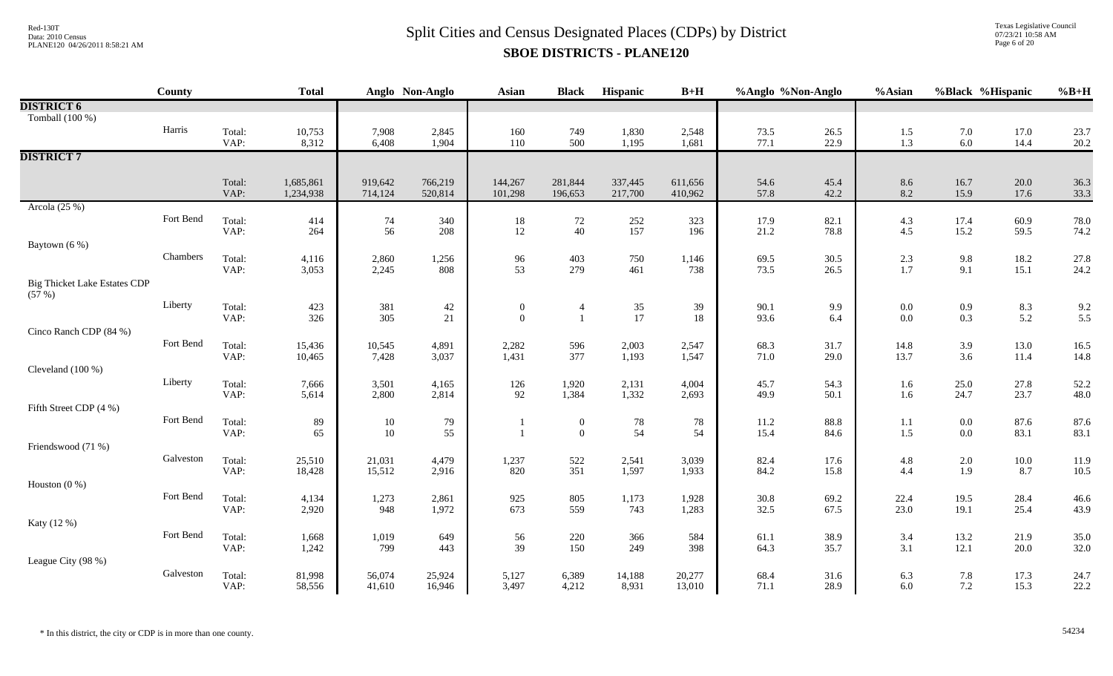Texas Legislative Council 07/23/21 10:58 AM Page 6 of 20

|                                              | <b>County</b> |                | <b>Total</b>           |                    | Anglo Non-Anglo    | <b>Asian</b>       | <b>Black</b>       | Hispanic           | $B+H$              | %Anglo %Non-Anglo |              | %Asian            | %Black %Hispanic |                   | $%B+H$       |
|----------------------------------------------|---------------|----------------|------------------------|--------------------|--------------------|--------------------|--------------------|--------------------|--------------------|-------------------|--------------|-------------------|------------------|-------------------|--------------|
| <b>DISTRICT 6</b>                            |               |                |                        |                    |                    |                    |                    |                    |                    |                   |              |                   |                  |                   |              |
| Tomball (100 %)                              |               |                |                        |                    |                    |                    |                    |                    |                    |                   |              |                   |                  |                   |              |
|                                              | Harris        | Total:         | 10,753                 | 7,908              | 2,845              | 160                | 749                | 1,830              | 2,548              | 73.5              | 26.5         | 1.5               | 7.0              | 17.0              | 23.7         |
|                                              |               | VAP:           | 8,312                  | 6,408              | 1,904              | 110                | 500                | 1,195              | 1,681              | 77.1              | 22.9         | 1.3               | 6.0              | 14.4              | 20.2         |
| <b>DISTRICT 7</b>                            |               |                |                        |                    |                    |                    |                    |                    |                    |                   |              |                   |                  |                   |              |
|                                              |               |                |                        |                    |                    |                    |                    |                    |                    |                   |              |                   |                  |                   |              |
|                                              |               | Total:<br>VAP: | 1,685,861<br>1,234,938 | 919,642<br>714,124 | 766,219<br>520,814 | 144,267<br>101,298 | 281,844<br>196,653 | 337,445<br>217,700 | 611,656<br>410,962 | 54.6<br>57.8      | 45.4<br>42.2 | 8.6<br>8.2        | 16.7<br>15.9     | $20.0\,$<br>17.6  | 36.3<br>33.3 |
| Arcola $(25%)$                               |               |                |                        |                    |                    |                    |                    |                    |                    |                   |              |                   |                  |                   |              |
|                                              | Fort Bend     | Total:         | 414                    | 74                 | 340                | $18\,$             | 72                 | 252                | 323                | 17.9              | 82.1         | $4.3$             | 17.4             | 60.9              | 78.0         |
|                                              |               | VAP:           | 264                    | 56                 | 208                | 12                 | 40                 | 157                | 196                | 21.2              | 78.8         | 4.5               | 15.2             | 59.5              | 74.2         |
| Baytown (6 %)                                |               |                |                        |                    |                    |                    |                    |                    |                    |                   |              |                   |                  |                   |              |
|                                              | Chambers      | Total:         | 4,116                  | 2,860              | 1,256              | 96                 | 403                | 750                | 1,146              | 69.5              | 30.5         | $\frac{2.3}{1.7}$ | 9.8              | 18.2              | 27.8         |
|                                              |               | VAP:           | 3,053                  | 2,245              | 808                | 53                 | 279                | 461                | 738                | 73.5              | 26.5         |                   | 9.1              | 15.1              | 24.2         |
| <b>Big Thicket Lake Estates CDP</b><br>(57%) |               |                |                        |                    |                    |                    |                    |                    |                    |                   |              |                   |                  |                   |              |
|                                              | Liberty       | Total:         | 423                    | 381                | 42                 | $\boldsymbol{0}$   | $\overline{4}$     | 35                 | 39                 | 90.1              | 9.9          | $0.0\,$           | 0.9              | $\frac{8.3}{5.2}$ | 9.2          |
|                                              |               | VAP:           | 326                    | 305                | 21                 | $\mathbf{0}$       |                    | 17                 | $18\,$             | 93.6              | 6.4          | 0.0               | 0.3              |                   | 5.5          |
| Cinco Ranch CDP (84 %)                       |               |                |                        |                    |                    |                    |                    |                    |                    |                   |              |                   |                  |                   |              |
|                                              | Fort Bend     | Total:<br>VAP: | 15,436                 | 10,545             | 4,891              | 2,282              | 596<br>377         | 2,003              | 2,547              | 68.3              | 31.7         | 14.8<br>13.7      | 3.9<br>3.6       | 13.0              | 16.5         |
| Cleveland (100 %)                            |               |                | 10,465                 | 7,428              | 3,037              | 1,431              |                    | 1,193              | 1,547              | 71.0              | 29.0         |                   |                  | 11.4              | 14.8         |
|                                              | Liberty       | Total:         | 7,666                  | 3,501              | 4,165              | 126                | 1,920              | 2,131              | 4,004              | 45.7              | 54.3         | 1.6               | 25.0             | 27.8              | 52.2         |
|                                              |               | VAP:           | 5,614                  | 2,800              | 2,814              | 92                 | 1,384              | 1,332              | 2,693              | 49.9              | 50.1         | 1.6               | 24.7             | 23.7              | 48.0         |
| Fifth Street CDP (4 %)                       |               |                |                        |                    |                    |                    |                    |                    |                    |                   |              |                   |                  |                   |              |
|                                              | Fort Bend     | Total:         | 89                     | 10                 | 79                 |                    | $\boldsymbol{0}$   | $78\,$             | 78                 | $11.2\,$          | 88.8         | $1.1\,$           | $0.0\,$          | 87.6              | 87.6         |
|                                              |               | VAP:           | 65                     | 10                 | 55                 | $\mathbf{1}$       | $\mathbf{0}$       | 54                 | 54                 | 15.4              | 84.6         | 1.5               | $0.0\,$          | 83.1              | 83.1         |
| Friendswood (71 %)                           |               |                |                        |                    |                    |                    |                    |                    |                    |                   |              |                   |                  |                   |              |
|                                              | Galveston     | Total:         | 25,510                 | 21,031             | 4,479              | 1,237              | 522                | 2,541              | 3,039              | 82.4              | 17.6         | 4.8               | $2.0\,$          | $10.0\,$          | 11.9         |
|                                              |               | VAP:           | 18,428                 | 15,512             | 2,916              | 820                | 351                | 1,597              | 1,933              | 84.2              | 15.8         | 4.4               | 1.9              | 8.7               | 10.5         |
| Houston $(0\%)$                              |               |                |                        |                    |                    |                    |                    |                    |                    |                   |              |                   |                  |                   |              |
|                                              | Fort Bend     | Total:         | 4,134                  | 1,273              | 2,861              | 925                | 805                | 1,173              | 1,928              | 30.8              | 69.2         | 22.4              | 19.5             | 28.4              | 46.6         |
|                                              |               | VAP:           | 2,920                  | 948                | 1,972              | 673                | 559                | 743                | 1,283              | 32.5              | 67.5         | 23.0              | 19.1             | 25.4              | 43.9         |
| Katy (12 %)                                  | Fort Bend     |                |                        |                    |                    |                    |                    |                    |                    |                   |              |                   |                  |                   |              |
|                                              |               | Total:<br>VAP: | 1,668<br>1,242         | 1,019<br>799       | 649<br>443         | 56<br>39           | 220<br>150         | 366<br>249         | 584<br>398         | 61.1<br>64.3      | 38.9<br>35.7 | 3.4<br>3.1        | 13.2<br>12.1     | 21.9<br>20.0      | 35.0<br>32.0 |
| League City (98 %)                           |               |                |                        |                    |                    |                    |                    |                    |                    |                   |              |                   |                  |                   |              |
|                                              | Galveston     | Total:         | 81,998                 | 56,074             | 25,924             | 5,127              | 6,389              | 14,188             | 20,277             | 68.4              | 31.6         | 6.3               | 7.8              | 17.3              | 24.7         |
|                                              |               | VAP:           | 58,556                 | 41,610             | 16,946             | 3,497              | 4,212              | 8,931              | 13,010             | 71.1              | 28.9         | 6.0               | 7.2              | 15.3              | 22.2         |
|                                              |               |                |                        |                    |                    |                    |                    |                    |                    |                   |              |                   |                  |                   |              |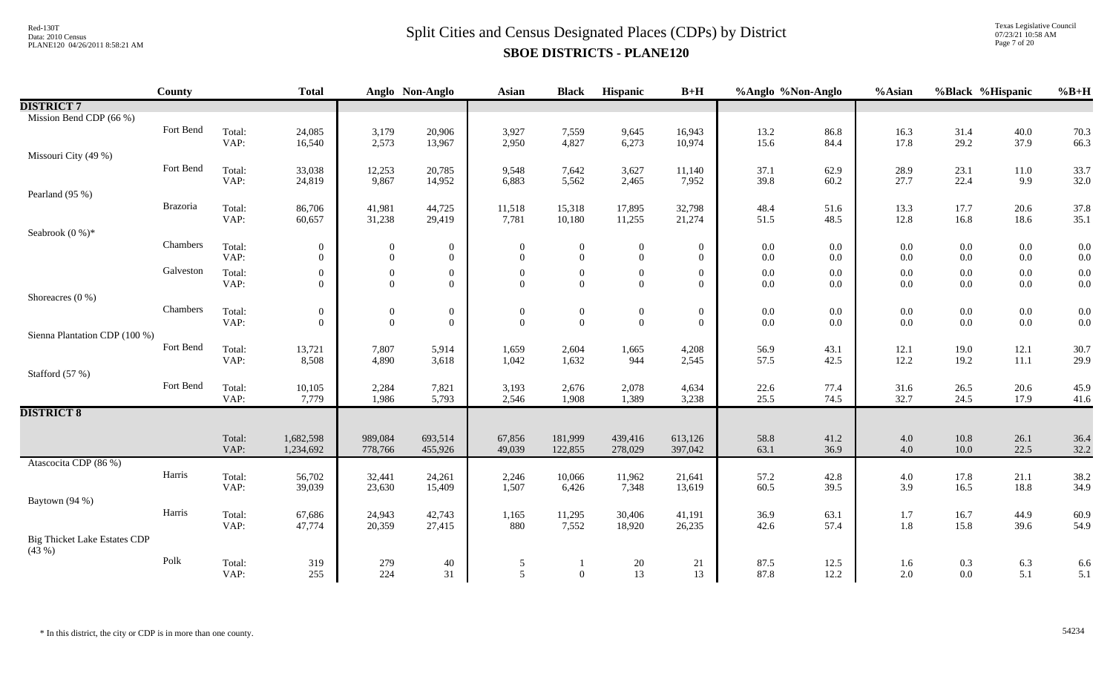Texas Legislative Council 07/23/21 10:58 AM Page 7 of 20

|                                              | <b>County</b>   |                | <b>Total</b>     |                  | Anglo Non-Anglo  | <b>Asian</b>   | <b>Black</b>     | Hispanic         | $B+H$            | %Anglo %Non-Anglo |              | %Asian       |              | %Black %Hispanic | $%B+H$       |
|----------------------------------------------|-----------------|----------------|------------------|------------------|------------------|----------------|------------------|------------------|------------------|-------------------|--------------|--------------|--------------|------------------|--------------|
| <b>DISTRICT 7</b>                            |                 |                |                  |                  |                  |                |                  |                  |                  |                   |              |              |              |                  |              |
| Mission Bend CDP (66 %)                      |                 |                |                  |                  |                  |                |                  |                  |                  |                   |              |              |              |                  |              |
|                                              | Fort Bend       | Total:         | 24,085           | 3,179            | 20,906           | 3,927          | 7,559            | 9,645            | 16,943           | 13.2              | 86.8         | 16.3         | 31.4         | 40.0             | 70.3         |
|                                              |                 | VAP:           | 16,540           | 2,573            | 13,967           | 2,950          | 4,827            | 6,273            | 10,974           | 15.6              | 84.4         | 17.8         | 29.2         | 37.9             | 66.3         |
| Missouri City (49 %)                         |                 |                |                  |                  |                  |                |                  |                  |                  |                   |              |              |              |                  |              |
|                                              | Fort Bend       | Total:         | 33,038           | 12,253           | 20,785           | 9,548          | 7,642            | 3,627            | 11,140           | 37.1              | 62.9         | 28.9         | 23.1         | 11.0             | 33.7         |
| Pearland (95 %)                              |                 | VAP:           | 24,819           | 9,867            | 14,952           | 6,883          | 5,562            | 2,465            | 7,952            | 39.8              | 60.2         | 27.7         | 22.4         | 9.9              | 32.0         |
|                                              | <b>Brazoria</b> | Total:         | 86,706           | 41,981           | 44,725           | 11,518         | 15,318           | 17,895           | 32,798           | 48.4              | 51.6         | 13.3         | 17.7         | 20.6             | 37.8         |
|                                              |                 | VAP:           | 60,657           | 31,238           | 29,419           | 7,781          | 10,180           | 11,255           | 21,274           | 51.5              | 48.5         | 12.8         | 16.8         | 18.6             | 35.1         |
| Seabrook $(0\%)^*$                           |                 |                |                  |                  |                  |                |                  |                  |                  |                   |              |              |              |                  |              |
|                                              | Chambers        | Total:         | $\boldsymbol{0}$ | 0                | $\boldsymbol{0}$ | $\overline{0}$ | $\overline{0}$   | $\boldsymbol{0}$ | $\boldsymbol{0}$ | $0.0\,$           | 0.0          | $0.0\,$      | $0.0\,$      | $0.0\,$          | 0.0          |
|                                              |                 | VAP:           | $\overline{0}$   | $\mathbf{0}$     | $\overline{0}$   | $\overline{0}$ | $\overline{0}$   | $\boldsymbol{0}$ | $\overline{0}$   | $0.0\,$           | $0.0\,$      | $0.0\,$      | $0.0\,$      | $0.0\,$          | 0.0          |
|                                              | Galveston       | Total:         | $\mathbf{0}$     | $\boldsymbol{0}$ | $\boldsymbol{0}$ | $\overline{0}$ | $\overline{0}$   | $\boldsymbol{0}$ | $\mathbf{0}$     | $0.0\,$           | 0.0          | $0.0\,$      | $0.0\,$      | $0.0\,$          | 0.0          |
|                                              |                 | VAP:           | $\overline{0}$   | $\overline{0}$   | $\overline{0}$   | $\mathbf{0}$   | $\overline{0}$   | $\mathbf{0}$     | $\overline{0}$   | $0.0\,$           | $0.0\,$      | $0.0\,$      | $0.0\,$      | $0.0\,$          | 0.0          |
| Shoreacres $(0\%)$                           |                 |                |                  |                  |                  |                |                  |                  |                  |                   |              |              |              |                  |              |
|                                              | Chambers        | Total:         | $\mathbf{0}$     | $\boldsymbol{0}$ | $\boldsymbol{0}$ | $\overline{0}$ | $\boldsymbol{0}$ | $\boldsymbol{0}$ | $\boldsymbol{0}$ | 0.0               | $0.0\,$      | $0.0\,$      | $0.0\,$      | $0.0\,$          | 0.0          |
|                                              |                 | VAP:           | $\Omega$         | $\mathbf{0}$     | $\boldsymbol{0}$ | $\mathbf{0}$   | $\mathbf{0}$     | $\boldsymbol{0}$ | $\overline{0}$   | $0.0\,$           | $0.0\,$      | $0.0\,$      | $0.0\,$      | $0.0\,$          | 0.0          |
| Sienna Plantation CDP (100 %)                |                 |                |                  |                  |                  |                |                  |                  |                  |                   |              |              |              |                  |              |
|                                              | Fort Bend       | Total:<br>VAP: | 13,721<br>8,508  | 7,807<br>4,890   | 5,914<br>3,618   | 1,659<br>1,042 | 2,604<br>1,632   | 1,665<br>944     | 4,208<br>2,545   | 56.9<br>57.5      | 43.1<br>42.5 | 12.1<br>12.2 | 19.0<br>19.2 | 12.1<br>$11.1\,$ | 30.7<br>29.9 |
| Stafford (57 %)                              |                 |                |                  |                  |                  |                |                  |                  |                  |                   |              |              |              |                  |              |
|                                              | Fort Bend       | Total:         | 10,105           | 2,284            | 7,821            | 3,193          | 2,676            | 2,078            | 4,634            | 22.6              | 77.4         | 31.6         | 26.5         | 20.6             | 45.9         |
|                                              |                 | VAP:           | 7,779            | 1,986            | 5,793            | 2,546          | 1,908            | 1,389            | 3,238            | 25.5              | 74.5         | 32.7         | 24.5         | 17.9             | 41.6         |
| <b>DISTRICT 8</b>                            |                 |                |                  |                  |                  |                |                  |                  |                  |                   |              |              |              |                  |              |
|                                              |                 |                |                  |                  |                  |                |                  |                  |                  |                   |              |              |              |                  |              |
|                                              |                 | Total:         | 1,682,598        | 989,084          | 693,514          | 67,856         | 181,999          | 439,416          | 613,126          | 58.8              | 41.2         | $4.0\,$      | $10.8\,$     | 26.1             | 36.4         |
|                                              |                 | VAP:           | 1,234,692        | 778,766          | 455,926          | 49,039         | 122,855          | 278,029          | 397,042          | 63.1              | 36.9         | 4.0          | $10.0\,$     | 22.5             | 32.2         |
| Atascocita CDP (86 %)                        |                 |                |                  |                  |                  |                |                  |                  |                  |                   |              |              |              |                  |              |
|                                              | Harris          | Total:         | 56,702           | 32,441           | 24,261           | 2,246          | 10,066           | 11,962           | 21,641           | 57.2              | 42.8         | 4.0          | 17.8         | 21.1             | 38.2         |
|                                              |                 | VAP:           | 39,039           | 23,630           | 15,409           | 1,507          | 6,426            | 7,348            | 13,619           | 60.5              | 39.5         | 3.9          | 16.5         | 18.8             | 34.9         |
| Baytown (94 %)                               | Harris          |                |                  |                  |                  |                |                  |                  |                  |                   |              |              |              |                  |              |
|                                              |                 | Total:<br>VAP: | 67,686<br>47,774 | 24,943<br>20,359 | 42,743<br>27,415 | 1,165<br>880   | 11,295<br>7,552  | 30,406<br>18,920 | 41,191<br>26,235 | 36.9<br>42.6      | 63.1<br>57.4 | 1.7<br>1.8   | 16.7<br>15.8 | 44.9<br>39.6     | 60.9<br>54.9 |
| <b>Big Thicket Lake Estates CDP</b><br>(43%) |                 |                |                  |                  |                  |                |                  |                  |                  |                   |              |              |              |                  |              |
|                                              | Polk            | Total:         | 319              | 279              | 40               | 5              |                  | 20               | 21               | 87.5              | 12.5         | 1.6          | 0.3          | 6.3              | 6.6          |
|                                              |                 | VAP:           | 255              | 224              | 31               | 5              | $\overline{0}$   | 13               | 13               | 87.8              | 12.2         | 2.0          | 0.0          | 5.1              | 5.1          |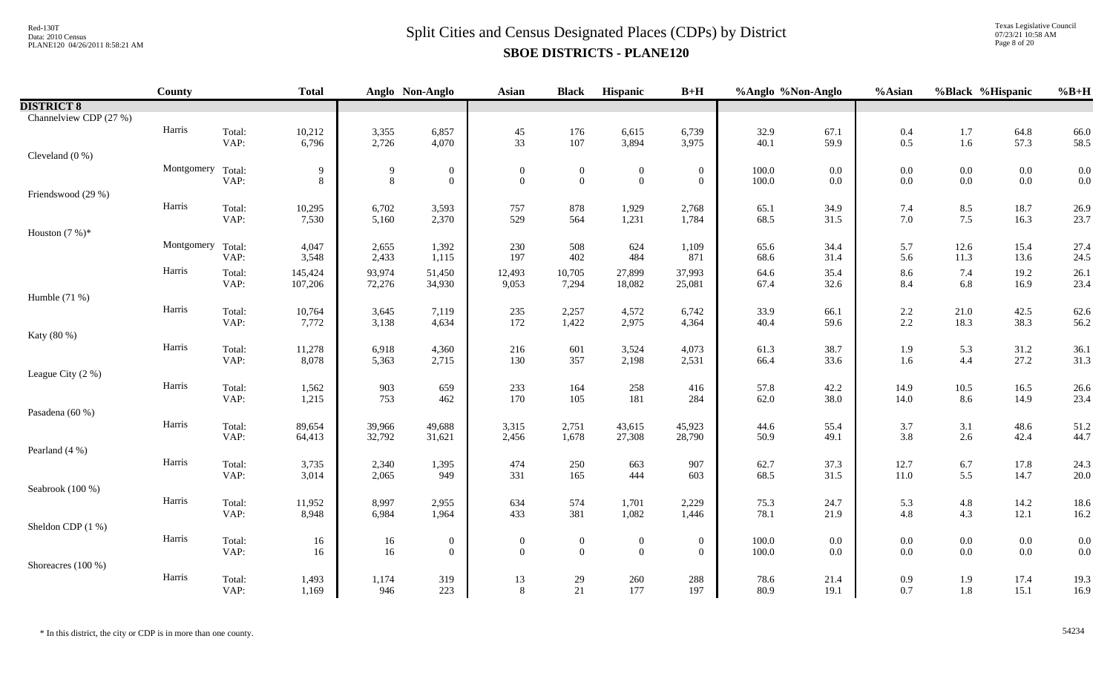Texas Legislative Council 07/23/21 10:58 AM Page 8 of 20

|                        | County            |                | <b>Total</b>     |                     | Anglo Non-Anglo                    | <b>Asian</b>                 | <b>Black</b>                     | Hispanic                         | $B+H$                              | %Anglo %Non-Anglo  |                    | %Asian             | %Black %Hispanic   |                    | $%B+H$       |
|------------------------|-------------------|----------------|------------------|---------------------|------------------------------------|------------------------------|----------------------------------|----------------------------------|------------------------------------|--------------------|--------------------|--------------------|--------------------|--------------------|--------------|
| <b>DISTRICT 8</b>      |                   |                |                  |                     |                                    |                              |                                  |                                  |                                    |                    |                    |                    |                    |                    |              |
| Channelview CDP (27 %) |                   |                |                  |                     |                                    |                              |                                  |                                  |                                    |                    |                    |                    |                    |                    |              |
|                        | Harris            | Total:         | 10,212           | 3,355               | 6,857                              | $45\,$                       | 176                              | 6,615                            | 6,739                              | 32.9               | 67.1               | $0.4\,$            | $1.7\,$            | 64.8               | 66.0         |
|                        |                   | VAP:           | 6,796            | 2,726               | 4,070                              | 33                           | 107                              | 3,894                            | 3,975                              | 40.1               | 59.9               | 0.5                | 1.6                | 57.3               | 58.5         |
| Cleveland $(0\%)$      |                   |                |                  |                     |                                    |                              |                                  |                                  |                                    |                    |                    |                    |                    |                    |              |
|                        | Montgomery Total: | VAP:           | 9<br>8           | 9<br>$8\phantom{.}$ | $\boldsymbol{0}$<br>$\overline{0}$ | $\boldsymbol{0}$<br>$\theta$ | $\boldsymbol{0}$<br>$\mathbf{0}$ | $\boldsymbol{0}$<br>$\mathbf{0}$ | $\boldsymbol{0}$<br>$\overline{0}$ | $100.0\,$<br>100.0 | $0.0\,$<br>$0.0\,$ | $0.0\,$<br>$0.0\,$ | $0.0\,$<br>$0.0\,$ | $0.0\,$<br>$0.0\,$ | 0.0<br>0.0   |
| Friendswood (29 %)     |                   |                |                  |                     |                                    |                              |                                  |                                  |                                    |                    |                    |                    |                    |                    |              |
|                        | Harris            | Total:         | 10,295           | 6,702               | 3,593                              | 757                          | 878                              | 1,929                            | 2,768                              | 65.1               | 34.9               | 7.4                | 8.5                | 18.7               | 26.9         |
|                        |                   | VAP:           | 7,530            | 5,160               | 2,370                              | 529                          | 564                              | 1,231                            | 1,784                              | 68.5               | 31.5               | 7.0                | 7.5                | 16.3               | 23.7         |
| Houston $(7%)^*$       |                   |                |                  |                     |                                    |                              |                                  |                                  |                                    |                    |                    |                    |                    |                    |              |
|                        | Montgomery Total: |                | 4,047            | 2,655               | 1,392                              | 230                          | 508                              | 624                              | 1,109                              | 65.6               | 34.4               | 5.7                | 12.6               | 15.4               | 27.4         |
|                        |                   | VAP:           | 3,548            | 2,433               | 1,115                              | 197                          | 402                              | 484                              | 871                                | 68.6               | 31.4               | 5.6                | 11.3               | 13.6               | 24.5         |
|                        | Harris            | Total:         | 145,424          | 93,974              | 51,450                             | 12,493                       | 10,705                           | 27,899                           | 37,993                             | 64.6               | 35.4               | 8.6                | 7.4                | 19.2               | 26.1         |
| Humble (71 %)          |                   | VAP:           | 107,206          | 72,276              | 34,930                             | 9,053                        | 7,294                            | 18,082                           | 25,081                             | 67.4               | 32.6               | 8.4                | 6.8                | 16.9               | 23.4         |
|                        | Harris            | Total:         | 10,764           | 3,645               | 7,119                              | 235                          | 2,257                            | 4,572                            | 6,742                              | 33.9               | 66.1               | $2.2\,$            | 21.0               | 42.5               | 62.6         |
|                        |                   | VAP:           | 7,772            | 3,138               | 4,634                              | 172                          | 1,422                            | 2,975                            | 4,364                              | 40.4               | 59.6               | 2.2                | 18.3               | 38.3               | 56.2         |
| Katy (80 %)            |                   |                |                  |                     |                                    |                              |                                  |                                  |                                    |                    |                    |                    |                    |                    |              |
|                        | Harris            | Total:         | 11,278           | 6,918               | 4,360                              | 216                          | 601                              | 3,524                            | 4,073                              | 61.3               | 38.7               | 1.9                | 5.3                | 31.2               | 36.1         |
|                        |                   | VAP:           | 8,078            | 5,363               | 2,715                              | 130                          | 357                              | 2,198                            | 2,531                              | 66.4               | 33.6               | 1.6                | 4.4                | 27.2               | 31.3         |
| League City (2 %)      |                   |                |                  |                     |                                    |                              |                                  |                                  |                                    |                    |                    |                    |                    |                    |              |
|                        | Harris            | Total:         | 1,562            | 903                 | 659                                | 233                          | 164                              | 258                              | 416                                | 57.8               | 42.2               | 14.9               | 10.5               | 16.5               | 26.6         |
|                        |                   | VAP:           | 1,215            | 753                 | 462                                | 170                          | 105                              | 181                              | 284                                | 62.0               | 38.0               | 14.0               | 8.6                | 14.9               | 23.4         |
| Pasadena (60 %)        | Harris            |                |                  |                     |                                    |                              |                                  |                                  |                                    |                    |                    |                    |                    |                    |              |
|                        |                   | Total:<br>VAP: | 89,654<br>64,413 | 39,966<br>32,792    | 49,688<br>31,621                   | 3,315<br>2,456               | 2,751<br>1,678                   | 43,615<br>27,308                 | 45,923<br>28,790                   | 44.6<br>50.9       | 55.4<br>49.1       | 3.7<br>3.8         | 3.1<br>$2.6\,$     | 48.6<br>42.4       | 51.2<br>44.7 |
| Pearland (4 %)         |                   |                |                  |                     |                                    |                              |                                  |                                  |                                    |                    |                    |                    |                    |                    |              |
|                        | Harris            | Total:         | 3,735            | 2,340               | 1,395                              | 474                          | 250                              | 663                              | 907                                | 62.7               | 37.3               | 12.7               | 6.7                | 17.8               | 24.3         |
|                        |                   | VAP:           | 3,014            | 2,065               | 949                                | 331                          | 165                              | 444                              | 603                                | 68.5               | 31.5               | $11.0\,$           | 5.5                | 14.7               | 20.0         |
| Seabrook (100 %)       |                   |                |                  |                     |                                    |                              |                                  |                                  |                                    |                    |                    |                    |                    |                    |              |
|                        | Harris            | Total:         | 11,952           | 8,997               | 2,955                              | 634                          | 574                              | 1,701                            | 2,229                              | 75.3               | 24.7               | 5.3                | $4.8\,$            | 14.2               | 18.6         |
|                        |                   | VAP:           | 8,948            | 6,984               | 1,964                              | 433                          | 381                              | 1,082                            | 1,446                              | 78.1               | 21.9               | 4.8                | 4.3                | 12.1               | 16.2         |
| Sheldon CDP (1 %)      | Harris            |                |                  |                     |                                    |                              |                                  |                                  |                                    |                    |                    |                    |                    |                    |              |
|                        |                   | Total:<br>VAP: | 16<br>16         | 16<br>16            | $\boldsymbol{0}$<br>$\mathbf{0}$   | $\overline{0}$<br>$\theta$   | $\mathbf{0}$<br>$\overline{0}$   | $\boldsymbol{0}$<br>$\mathbf{0}$ | $\overline{0}$<br>$\overline{0}$   | $100.0\,$<br>100.0 | $0.0\,$<br>0.0     | $0.0\,$<br>0.0     | $0.0\,$<br>$0.0\,$ | $0.0\,$<br>$0.0\,$ | 0.0<br>0.0   |
| Shoreacres (100 %)     |                   |                |                  |                     |                                    |                              |                                  |                                  |                                    |                    |                    |                    |                    |                    |              |
|                        | Harris            | Total:         | 1,493            | 1,174               | 319                                | 13                           | 29                               | 260                              | 288                                | 78.6               | 21.4               | 0.9                | 1.9                | 17.4               | 19.3         |
|                        |                   | VAP:           | 1,169            | 946                 | 223                                | 8                            | 21                               | 177                              | 197                                | 80.9               | 19.1               | 0.7                | 1.8                | 15.1               | 16.9         |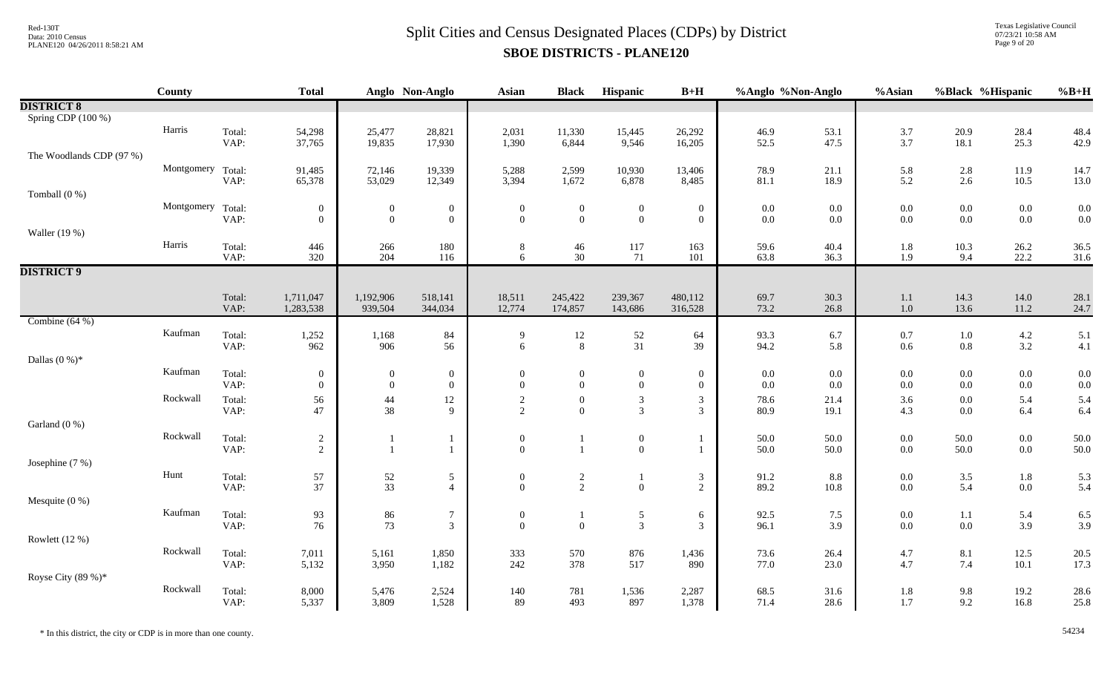Texas Legislative Council 07/23/21 10:58 AM Page 9 of 20

|                          | County            |                | <b>Total</b>     |                                  | Anglo Non-Anglo                  | <b>Asian</b>                 | <b>Black</b>                   | Hispanic                         | $B+H$                            | %Anglo %Non-Anglo  |              | %Asian     | %Black %Hispanic   |                | $%B+H$       |
|--------------------------|-------------------|----------------|------------------|----------------------------------|----------------------------------|------------------------------|--------------------------------|----------------------------------|----------------------------------|--------------------|--------------|------------|--------------------|----------------|--------------|
| <b>DISTRICT 8</b>        |                   |                |                  |                                  |                                  |                              |                                |                                  |                                  |                    |              |            |                    |                |              |
| Spring CDP (100 %)       |                   |                |                  |                                  |                                  |                              |                                |                                  |                                  |                    |              |            |                    |                |              |
|                          | Harris            | Total:         | 54,298           | 25,477                           | 28,821                           | 2,031                        | 11,330                         | 15,445                           | 26,292                           | 46.9               | 53.1         | 3.7        | 20.9               | 28.4           | 48.4         |
|                          |                   | VAP:           | 37,765           | 19,835                           | 17,930                           | 1,390                        | 6,844                          | 9,546                            | 16,205                           | 52.5               | 47.5         | 3.7        | 18.1               | 25.3           | 42.9         |
| The Woodlands CDP (97 %) |                   |                |                  |                                  |                                  |                              |                                |                                  |                                  |                    |              |            |                    |                |              |
|                          | Montgomery Total: |                | 91,485           | 72,146                           | 19,339                           | 5,288                        | 2,599                          | 10,930                           | 13,406                           | 78.9               | 21.1         | 5.8        | 2.8                | 11.9           | 14.7         |
| Tomball $(0\%)$          |                   | VAP:           | 65,378           | 53,029                           | 12,349                           | 3,394                        | 1,672                          | 6,878                            | 8,485                            | 81.1               | 18.9         | 5.2        | 2.6                | 10.5           | 13.0         |
|                          | Montgomery Total: |                | $\boldsymbol{0}$ |                                  | $\boldsymbol{0}$                 |                              |                                |                                  |                                  |                    | $0.0\,$      | $0.0\,$    | $0.0\,$            | $0.0\,$        | 0.0          |
|                          |                   | VAP:           | $\theta$         | $\overline{0}$<br>$\overline{0}$ | $\mathbf{0}$                     | $\boldsymbol{0}$<br>$\theta$ | $\overline{0}$<br>$\mathbf{0}$ | $\boldsymbol{0}$<br>$\mathbf{0}$ | $\overline{0}$<br>$\overline{0}$ | $0.0\,$<br>$0.0\,$ | $0.0\,$      | 0.0        | 0.0                | $0.0\,$        | 0.0          |
| Waller (19 %)            |                   |                |                  |                                  |                                  |                              |                                |                                  |                                  |                    |              |            |                    |                |              |
|                          | Harris            | Total:         | 446              | 266                              | 180                              | $\,8\,$                      | 46                             | 117                              | 163                              | 59.6               | 40.4         | 1.8        | 10.3               | 26.2           | 36.5         |
|                          |                   | VAP:           | 320              | 204                              | 116                              | 6                            | 30                             | 71                               | 101                              | 63.8               | 36.3         | 1.9        | 9.4                | 22.2           | 31.6         |
| <b>DISTRICT 9</b>        |                   |                |                  |                                  |                                  |                              |                                |                                  |                                  |                    |              |            |                    |                |              |
|                          |                   |                |                  |                                  |                                  |                              |                                |                                  |                                  |                    |              |            |                    |                |              |
|                          |                   | Total:         | 1,711,047        | 1,192,906                        | 518,141                          | 18,511                       | 245,422                        | 239,367                          | 480,112                          | 69.7               | 30.3         | 1.1        | 14.3               | 14.0           | 28.1         |
|                          |                   | VAP:           | 1,283,538        | 939,504                          | 344,034                          | 12,774                       | 174,857                        | 143,686                          | 316,528                          | 73.2               | 26.8         | $1.0\,$    | 13.6               | 11.2           | 24.7         |
| Combine $(64%)$          |                   |                |                  |                                  |                                  |                              |                                |                                  |                                  |                    |              |            |                    |                |              |
|                          | Kaufman           | Total:<br>VAP: | 1,252<br>962     | 1,168<br>906                     | 84<br>56                         | $\overline{9}$<br>6          | 12<br>8                        | $\frac{52}{31}$                  | 64<br>39                         | 93.3<br>94.2       | 6.7<br>5.8   | 0.7<br>0.6 | $1.0\,$<br>$0.8\,$ | $4.2\,$<br>3.2 | 5.1<br>4.1   |
| Dallas $(0\%)^*$         |                   |                |                  |                                  |                                  |                              |                                |                                  |                                  |                    |              |            |                    |                |              |
|                          | Kaufman           | Total:         | $\boldsymbol{0}$ | $\overline{0}$                   |                                  | $\boldsymbol{0}$             | $\mathbf{0}$                   |                                  | $\overline{0}$                   | $0.0\,$            | $0.0\,$      | $0.0\,$    | $0.0\,$            | $0.0\,$        | 0.0          |
|                          |                   | VAP:           | $\overline{0}$   | $\boldsymbol{0}$                 | $\boldsymbol{0}$<br>$\mathbf{0}$ | $\theta$                     | $\overline{0}$                 | $\boldsymbol{0}$<br>$\mathbf{0}$ | $\overline{0}$                   | 0.0                | 0.0          | $0.0\,$    | $0.0\,$            | $0.0\,$        | 0.0          |
|                          | Rockwall          | Total:         | 56               | $44\,$                           | $12\,$                           | $\sqrt{2}$                   | $\mathbf{0}$                   | $\mathfrak{Z}$                   | $\mathfrak{Z}$                   | 78.6               | 21.4         | 3.6        | $0.0\,$            | 5.4            | 5.4          |
|                          |                   | VAP:           | 47               | 38                               | 9                                | 2                            | $\overline{0}$                 | $\mathfrak{Z}$                   | 3                                | 80.9               | 19.1         | 4.3        | $0.0\,$            | 6.4            | 6.4          |
| Garland (0 %)            |                   |                |                  |                                  |                                  |                              |                                |                                  |                                  |                    |              |            |                    |                |              |
|                          | Rockwall          | Total:         | $\overline{c}$   |                                  | 1                                | $\boldsymbol{0}$             | $\mathbf{1}$                   | $\boldsymbol{0}$                 | -1                               | 50.0               | 50.0         | $0.0\,$    | 50.0               | $0.0\,$        | 50.0         |
|                          |                   | VAP:           | $\overline{2}$   | $\mathbf{1}$                     | $\mathbf{1}$                     | $\mathbf{0}$                 | $\mathbf{1}$                   | $\boldsymbol{0}$                 | 1                                | 50.0               | 50.0         | $0.0\,$    | 50.0               | $0.0\,$        | 50.0         |
| Josephine (7 %)          |                   |                |                  |                                  |                                  |                              |                                |                                  |                                  |                    |              |            |                    |                |              |
|                          | Hunt              | Total:         | 57               | $\frac{52}{33}$                  | $\overline{5}$                   | $\boldsymbol{0}$             | $\frac{2}{2}$                  |                                  | 3                                | 91.2               | 8.8          | $0.0\,$    | $3.5$              | $1.8\,$        | 5.3          |
|                          |                   | VAP:           | 37               |                                  | $\overline{4}$                   | $\theta$                     |                                | $\mathbf{0}$                     | $\overline{2}$                   | 89.2               | 10.8         | 0.0        | 5.4                | $0.0\,$        | 5.4          |
| Mesquite $(0\%)$         |                   |                |                  |                                  |                                  |                              |                                |                                  |                                  |                    |              |            |                    |                |              |
|                          | Kaufman           | Total:         | 93               | $86\,$                           | $\boldsymbol{7}$                 | $\boldsymbol{0}$             | $\mathbf{1}$                   | $\mathfrak{S}$                   | 6                                | 92.5               | 7.5          | $0.0\,$    | $1.1\,$            | 5.4            | 6.5          |
|                          |                   | VAP:           | 76               | 73                               | $\overline{3}$                   | $\theta$                     | $\mathbf{0}$                   | $\mathfrak{Z}$                   | 3                                | 96.1               | 3.9          | $0.0\,$    | $0.0\,$            | 3.9            | 3.9          |
| Rowlett (12 %)           | Rockwall          |                |                  |                                  |                                  |                              |                                |                                  |                                  |                    |              |            |                    |                |              |
|                          |                   | Total:<br>VAP: | 7,011<br>5,132   | 5,161<br>3,950                   | 1,850<br>1,182                   | 333<br>242                   | 570<br>378                     | 876<br>517                       | 1,436<br>890                     | 73.6<br>77.0       | 26.4<br>23.0 | 4.7<br>4.7 | 8.1<br>7.4         | 12.5<br>$10.1$ | 20.5<br>17.3 |
| Royse City $(89\%)^*$    |                   |                |                  |                                  |                                  |                              |                                |                                  |                                  |                    |              |            |                    |                |              |
|                          | Rockwall          | Total:         | 8,000            | 5,476                            | 2,524                            | 140                          | 781                            | 1,536                            | 2,287                            | 68.5               | 31.6         | $1.8\,$    | $9.8\,$            | 19.2           | 28.6         |
|                          |                   | VAP:           | 5,337            | 3,809                            | 1,528                            | 89                           | 493                            | 897                              | 1,378                            | 71.4               | 28.6         | 1.7        | 9.2                | 16.8           | 25.8         |
|                          |                   |                |                  |                                  |                                  |                              |                                |                                  |                                  |                    |              |            |                    |                |              |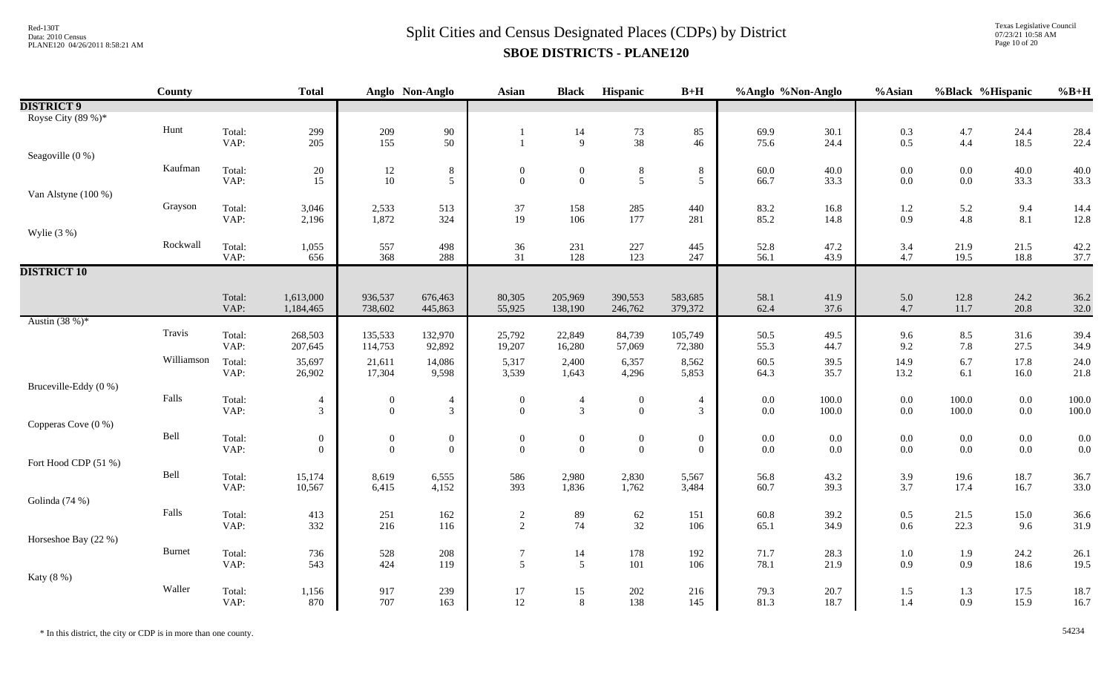Texas Legislative Council 07/23/21 10:58 AM Page 10 of 20

|                       | <b>County</b> |                | <b>Total</b>                       |                                           | Anglo Non-Anglo                         | Asian                            | <b>Black</b>                         | Hispanic                         | $B+H$                              | %Anglo %Non-Anglo  |                    | %Asian                                    | %Black %Hispanic   |                    | $%B+H$       |
|-----------------------|---------------|----------------|------------------------------------|-------------------------------------------|-----------------------------------------|----------------------------------|--------------------------------------|----------------------------------|------------------------------------|--------------------|--------------------|-------------------------------------------|--------------------|--------------------|--------------|
| <b>DISTRICT 9</b>     |               |                |                                    |                                           |                                         |                                  |                                      |                                  |                                    |                    |                    |                                           |                    |                    |              |
| Royse City (89 %)*    |               |                |                                    |                                           |                                         |                                  |                                      |                                  |                                    |                    |                    |                                           |                    |                    |              |
|                       | Hunt          | Total:         | 299                                | $\begin{array}{c} 209 \\ 155 \end{array}$ | $\begin{array}{c} 90 \\ 50 \end{array}$ |                                  | 14                                   | $\frac{73}{38}$                  | 85                                 | 69.9               | 30.1               | $\begin{array}{c} 0.3 \\ 0.5 \end{array}$ | 4.7                | 24.4               | 28.4         |
|                       |               | VAP:           | 205                                |                                           |                                         |                                  | 9                                    |                                  | 46                                 | 75.6               | 24.4               |                                           | 4.4                | 18.5               | 22.4         |
| Seagoville (0 %)      | Kaufman       |                |                                    |                                           |                                         |                                  |                                      |                                  |                                    |                    |                    |                                           |                    |                    |              |
|                       |               | Total:<br>VAP: | 20<br>15                           | 12<br>10                                  | $\,8\,$<br>5                            | $\boldsymbol{0}$<br>$\mathbf{0}$ | $\boldsymbol{0}$<br>$\boldsymbol{0}$ | $8\,$<br>5                       | $8\,$<br>$5\overline{)}$           | 60.0<br>66.7       | 40.0<br>33.3       | 0.0<br>0.0                                | $0.0\,$<br>$0.0\,$ | 40.0<br>33.3       | 40.0<br>33.3 |
| Van Alstyne (100 %)   |               |                |                                    |                                           |                                         |                                  |                                      |                                  |                                    |                    |                    |                                           |                    |                    |              |
|                       | Grayson       | Total:         | 3,046                              | 2,533                                     | 513                                     | 37                               | 158                                  | 285                              | 440                                | 83.2               | 16.8               | 1.2                                       | 5.2                | 9.4                | 14.4         |
|                       |               | VAP:           | 2,196                              | 1,872                                     | 324                                     | 19                               | 106                                  | 177                              | 281                                | 85.2               | 14.8               | 0.9                                       | 4.8                | 8.1                | 12.8         |
| Wylie $(3 %)$         |               |                |                                    |                                           |                                         |                                  |                                      |                                  |                                    |                    |                    |                                           |                    |                    |              |
|                       | Rockwall      | Total:         | 1,055                              | 557                                       | 498                                     | $36\,$                           | 231                                  | 227                              | 445                                | 52.8               | 47.2               | 3.4                                       | 21.9               | 21.5               | 42.2         |
|                       |               | VAP:           | 656                                | 368                                       | 288                                     | 31                               | 128                                  | 123                              | 247                                | 56.1               | 43.9               | 4.7                                       | 19.5               | 18.8               | 37.7         |
| <b>DISTRICT 10</b>    |               |                |                                    |                                           |                                         |                                  |                                      |                                  |                                    |                    |                    |                                           |                    |                    |              |
|                       |               |                |                                    |                                           |                                         |                                  |                                      |                                  |                                    |                    |                    |                                           |                    |                    |              |
|                       |               | Total:<br>VAP: | 1,613,000<br>1,184,465             | 936,537<br>738,602                        | 676,463<br>445,863                      | 80,305<br>55,925                 | 205,969<br>138,190                   | 390,553<br>246,762               | 583,685<br>379,372                 | 58.1<br>62.4       | 41.9<br>37.6       | 5.0<br>4.7                                | 12.8<br>11.7       | 24.2<br>20.8       | 36.2<br>32.0 |
| Austin $(38%)^*$      |               |                |                                    |                                           |                                         |                                  |                                      |                                  |                                    |                    |                    |                                           |                    |                    |              |
|                       | Travis        | Total:         | 268,503                            | 135,533                                   | 132,970                                 | 25,792                           | 22,849                               | 84,739                           | 105,749                            | 50.5               | 49.5               | 9.6                                       | $8.5\,$            | 31.6               | 39.4         |
|                       |               | VAP:           | 207,645                            | 114,753                                   | 92,892                                  | 19,207                           | 16,280                               | 57,069                           | 72,380                             | 55.3               | 44.7               | 9.2                                       | 7.8                | 27.5               | 34.9         |
|                       | Williamson    | Total:         | 35,697                             | 21,611                                    | 14,086                                  | 5,317                            | 2,400                                | 6,357                            | 8,562                              | 60.5               | 39.5               | 14.9                                      | 6.7                | 17.8               | 24.0         |
|                       |               | VAP:           | 26,902                             | 17,304                                    | 9,598                                   | 3,539                            | 1,643                                | 4,296                            | 5,853                              | 64.3               | 35.7               | 13.2                                      | 6.1                | 16.0               | 21.8         |
| Bruceville-Eddy (0 %) |               |                |                                    |                                           |                                         |                                  |                                      |                                  |                                    |                    |                    |                                           |                    |                    |              |
|                       | Falls         | Total:         | 4                                  | $\mathbf{0}$                              | $\overline{4}$                          | $\boldsymbol{0}$                 | $\overline{4}$                       | $\overline{0}$                   | $\overline{4}$                     | $0.0\,$            | $100.0\,$          | 0.0                                       | 100.0              | $0.0\,$            | 100.0        |
|                       |               | VAP:           | $\mathfrak{Z}$                     | $\overline{0}$                            | $\mathfrak{Z}$                          | $\theta$                         | $\mathfrak{Z}$                       | $\overline{0}$                   | $\mathfrak{Z}$                     | $0.0\,$            | $100.0\,$          | $0.0\,$                                   | $100.0\,$          | $0.0\,$            | 100.0        |
| Copperas Cove (0 %)   | Bell          |                |                                    |                                           |                                         |                                  |                                      |                                  |                                    |                    |                    |                                           |                    |                    |              |
|                       |               | Total:<br>VAP: | $\boldsymbol{0}$<br>$\overline{0}$ | $\boldsymbol{0}$<br>$\overline{0}$        | $\boldsymbol{0}$<br>$\overline{0}$      | $\boldsymbol{0}$<br>$\mathbf{0}$ | $\boldsymbol{0}$<br>$\boldsymbol{0}$ | $\boldsymbol{0}$<br>$\mathbf{0}$ | $\boldsymbol{0}$<br>$\overline{0}$ | $0.0\,$<br>$0.0\,$ | $0.0\,$<br>$0.0\,$ | 0.0<br>0.0                                | $0.0\,$<br>$0.0\,$ | $0.0\,$<br>$0.0\,$ | 0.0<br>0.0   |
| Fort Hood CDP (51 %)  |               |                |                                    |                                           |                                         |                                  |                                      |                                  |                                    |                    |                    |                                           |                    |                    |              |
|                       | Bell          | Total:         | 15,174                             | 8,619                                     | 6,555                                   | 586                              | 2,980                                | 2,830                            | 5,567                              | 56.8               | 43.2               | 3.9                                       | 19.6               | 18.7               | 36.7         |
|                       |               | VAP:           | 10,567                             | 6,415                                     | 4,152                                   | 393                              | 1,836                                | 1,762                            | 3,484                              | 60.7               | 39.3               | 3.7                                       | 17.4               | 16.7               | 33.0         |
| Golinda (74 %)        |               |                |                                    |                                           |                                         |                                  |                                      |                                  |                                    |                    |                    |                                           |                    |                    |              |
|                       | Falls         | Total:         | 413                                | 251                                       | 162                                     | $\sqrt{2}$                       | 89                                   | $62\,$                           | 151                                | 60.8               | 39.2               | $0.5\,$                                   | 21.5               | 15.0               | 36.6         |
|                       |               | VAP:           | 332                                | 216                                       | 116                                     | $\overline{2}$                   | 74                                   | 32                               | 106                                | 65.1               | 34.9               | 0.6                                       | 22.3               | 9.6                | 31.9         |
| Horseshoe Bay (22 %)  |               |                |                                    |                                           |                                         |                                  |                                      |                                  |                                    |                    |                    |                                           |                    |                    |              |
|                       | <b>Burnet</b> | Total:         | 736                                | 528                                       | 208                                     | $\tau$<br>$5\overline{)}$        | 14                                   | 178<br>101                       | 192                                | 71.7               | 28.3               | 1.0                                       | 1.9                | 24.2               | 26.1         |
|                       |               | VAP:           | 543                                | 424                                       | 119                                     |                                  | $\mathfrak{S}$                       |                                  | 106                                | 78.1               | 21.9               | 0.9                                       | 0.9                | 18.6               | 19.5         |
| Katy (8 %)            | Waller        | Total:         |                                    | 917                                       | 239                                     | $17\,$                           | 15                                   | $202\,$                          | 216                                | 79.3               | 20.7               |                                           | 1.3                | 17.5               | 18.7         |
|                       |               | VAP:           | 1,156<br>870                       | 707                                       | 163                                     | 12                               | 8                                    | 138                              | 145                                | 81.3               | 18.7               | 1.5<br>1.4                                | 0.9                | 15.9               | 16.7         |
|                       |               |                |                                    |                                           |                                         |                                  |                                      |                                  |                                    |                    |                    |                                           |                    |                    |              |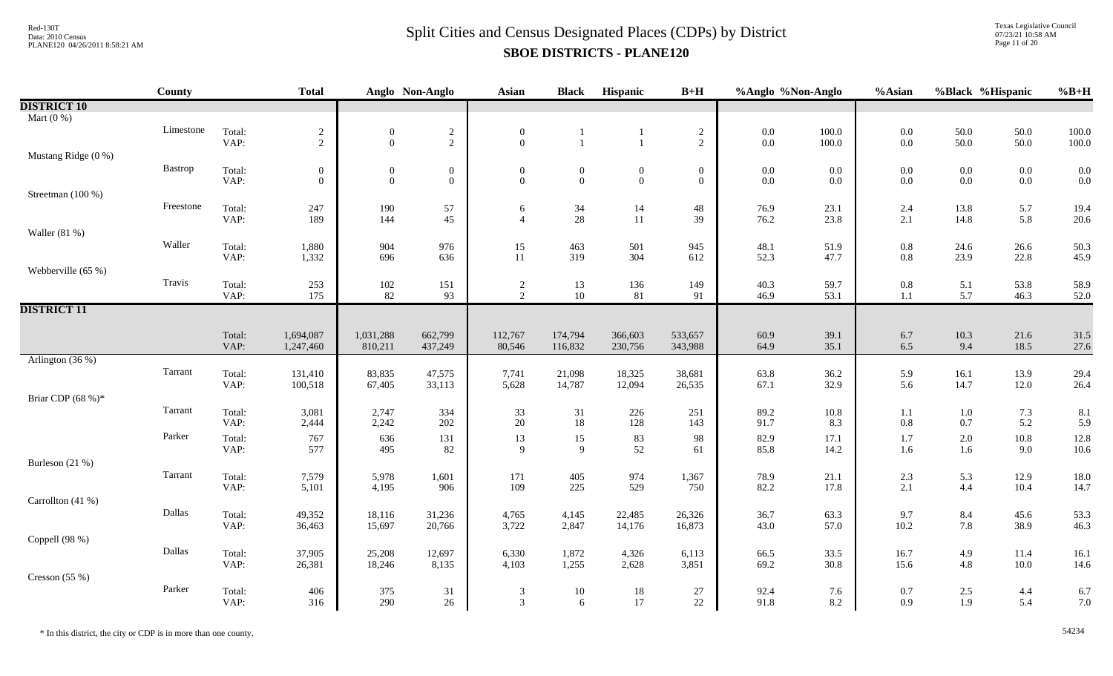Texas Legislative Council 07/23/21 10:58 AM Page 11 of 20

|                     | County    |                | <b>Total</b>   |                  | Anglo Non-Anglo | <b>Asian</b>        | <b>Black</b>     | Hispanic       | $B+H$          | %Anglo %Non-Anglo |              | %Asian         | %Black %Hispanic |              | $%B+H$       |
|---------------------|-----------|----------------|----------------|------------------|-----------------|---------------------|------------------|----------------|----------------|-------------------|--------------|----------------|------------------|--------------|--------------|
| <b>DISTRICT 10</b>  |           |                |                |                  |                 |                     |                  |                |                |                   |              |                |                  |              |              |
| Mart $(0\%)$        |           |                |                |                  |                 |                     |                  |                |                |                   |              |                |                  |              |              |
|                     | Limestone | Total:         | $\frac{2}{2}$  | $\boldsymbol{0}$ | $\frac{2}{2}$   | $\boldsymbol{0}$    |                  |                | $\frac{2}{2}$  | $0.0\,$           | $100.0\,$    | $0.0\,$        | 50.0             | 50.0         | 100.0        |
|                     |           | VAP:           |                | $\mathbf{0}$     |                 | $\overline{0}$      | $\mathbf{1}$     | $\mathbf{1}$   |                | $0.0\,$           | $100.0\,$    | $0.0\,$        | 50.0             | 50.0         | 100.0        |
| Mustang Ridge (0 %) |           |                |                |                  |                 |                     |                  |                |                |                   |              |                |                  |              |              |
|                     | Bastrop   | Total:         | $\mathbf{0}$   | $\boldsymbol{0}$ | $\overline{0}$  | $\boldsymbol{0}$    | $\boldsymbol{0}$ | $\mathbf{0}$   | $\mathbf{0}$   | $0.0\,$           | 0.0          | $0.0\,$        | $0.0\,$          | $0.0\,$      | 0.0          |
|                     |           | VAP:           | $\overline{0}$ | $\mathbf{0}$     | $\mathbf{0}$    | $\Omega$            | $\mathbf{0}$     | $\overline{0}$ | $\overline{0}$ | $0.0\,$           | 0.0          | $0.0\,$        | $0.0\,$          | $0.0\,$      | 0.0          |
| Streetman (100 %)   | Freestone |                |                |                  |                 |                     |                  |                |                |                   |              |                |                  |              |              |
|                     |           | Total:<br>VAP: | 247<br>189     | 190<br>144       | 57<br>45        | 6<br>$\overline{4}$ | 34<br>28         | 14<br>11       | 48<br>39       | 76.9<br>76.2      | 23.1<br>23.8 | 2.4<br>$2.1\,$ | 13.8<br>14.8     | 5.7<br>5.8   | 19.4<br>20.6 |
| Waller $(81\%)$     |           |                |                |                  |                 |                     |                  |                |                |                   |              |                |                  |              |              |
|                     | Waller    | Total:         | 1,880          | 904              | 976             | 15                  | 463              | 501            | 945            | 48.1              | 51.9         | $0.8\,$        | 24.6             | 26.6         | 50.3         |
|                     |           | VAP:           | 1,332          | 696              | 636             | 11                  | 319              | 304            | 612            | 52.3              | 47.7         | $0.8\,$        | 23.9             | 22.8         | 45.9         |
| Webberville (65 %)  |           |                |                |                  |                 |                     |                  |                |                |                   |              |                |                  |              |              |
|                     | Travis    | Total:         | 253            |                  | 151             |                     | 13               | 136            | 149            | 40.3              | 59.7         | $\rm 0.8$      | 5.1              | 53.8         | 58.9         |
|                     |           | VAP:           | 175            | $\frac{102}{82}$ | 93              | $\frac{2}{2}$       | 10               | 81             | 91             | 46.9              | 53.1         | $1.1\,$        | 5.7              | 46.3         | 52.0         |
| <b>DISTRICT 11</b>  |           |                |                |                  |                 |                     |                  |                |                |                   |              |                |                  |              |              |
|                     |           |                |                |                  |                 |                     |                  |                |                |                   |              |                |                  |              |              |
|                     |           | Total:         | 1,694,087      | 1,031,288        | 662,799         | 112,767             | 174,794          | 366,603        | 533,657        | 60.9              | 39.1         | 6.7            | $10.3\,$         | 21.6         | 31.5         |
|                     |           | VAP:           | 1,247,460      | 810,211          | 437,249         | 80,546              | 116,832          | 230,756        | 343,988        | 64.9              | 35.1         | 6.5            | 9.4              | 18.5         | 27.6         |
| Arlington (36 %)    |           |                |                |                  |                 |                     |                  |                |                |                   |              |                |                  |              |              |
|                     | Tarrant   | Total:         | 131,410        | 83,835           | 47,575          | 7,741               | 21,098           | 18,325         | 38,681         | 63.8              | 36.2         | 5.9            | 16.1             | 13.9         | 29.4         |
|                     |           | VAP:           | 100,518        | 67,405           | 33,113          | 5,628               | 14,787           | 12,094         | 26,535         | 67.1              | 32.9         | 5.6            | 14.7             | 12.0         | 26.4         |
| Briar CDP (68 %)*   |           |                |                |                  |                 |                     |                  |                |                |                   |              |                |                  |              |              |
|                     | Tarrant   | Total:         | 3,081          | 2,747            | 334             | 33                  | 31<br>18         | 226            | 251            | 89.2              | $10.8\,$     | 1.1            | $1.0\,$          | 7.3          | 8.1          |
|                     |           | VAP:           | 2,444          | 2,242            | 202             | 20                  |                  | 128            | 143            | 91.7              | 8.3          | $0.8\,$        | 0.7              | 5.2          | 5.9          |
|                     | Parker    | Total:         | 767            | 636              | 131             | 13                  | 15               | 83<br>52       | 98             | 82.9              | 17.1         | 1.7            | $2.0\,$          | $10.8\,$     | 12.8         |
|                     |           | VAP:           | 577            | 495              | 82              | 9                   | 9                |                | 61             | 85.8              | 14.2         | 1.6            | 1.6              | 9.0          | 10.6         |
| Burleson (21 %)     | Tarrant   |                |                |                  |                 |                     |                  |                |                |                   |              |                |                  |              |              |
|                     |           | Total:<br>VAP: | 7,579<br>5,101 | 5,978<br>4,195   | 1,601<br>906    | 171<br>109          | 405<br>225       | 974<br>529     | 1,367<br>750   | 78.9<br>82.2      | 21.1<br>17.8 | $2.3\,$<br>2.1 | 5.3<br>4.4       | 12.9<br>10.4 | 18.0<br>14.7 |
| Carrollton (41 %)   |           |                |                |                  |                 |                     |                  |                |                |                   |              |                |                  |              |              |
|                     | Dallas    | Total:         | 49,352         | 18,116           | 31,236          | 4,765               | 4,145            | 22,485         | 26,326         | 36.7              | 63.3         | 9.7            | 8.4              | 45.6         | 53.3         |
|                     |           | VAP:           | 36,463         | 15,697           | 20,766          | 3,722               | 2,847            | 14,176         | 16,873         | 43.0              | 57.0         | $10.2\,$       | 7.8              | 38.9         | 46.3         |
| Coppell (98 %)      |           |                |                |                  |                 |                     |                  |                |                |                   |              |                |                  |              |              |
|                     | Dallas    | Total:         | 37,905         | 25,208           | 12,697          | 6,330               | 1,872            | 4,326          | 6,113          | 66.5              | 33.5         | 16.7           | 4.9              | 11.4         | 16.1         |
|                     |           | VAP:           | 26,381         | 18,246           | 8,135           | 4,103               | 1,255            | 2,628          | 3,851          | 69.2              | 30.8         | 15.6           | 4.8              | $10.0\,$     | 14.6         |
| Cresson $(55%)$     |           |                |                |                  |                 |                     |                  |                |                |                   |              |                |                  |              |              |
|                     | Parker    | Total:         | 406            | 375              | 31              | 3                   | $10\,$           | $18\,$         | $27\,$         | 92.4              | 7.6          | 0.7            | $2.5\,$          | 4.4          | 6.7          |
|                     |           | VAP:           | 316            | 290              | 26              | $\overline{3}$      | 6                | 17             | 22             | 91.8              | 8.2          | 0.9            | 1.9              | 5.4          | 7.0          |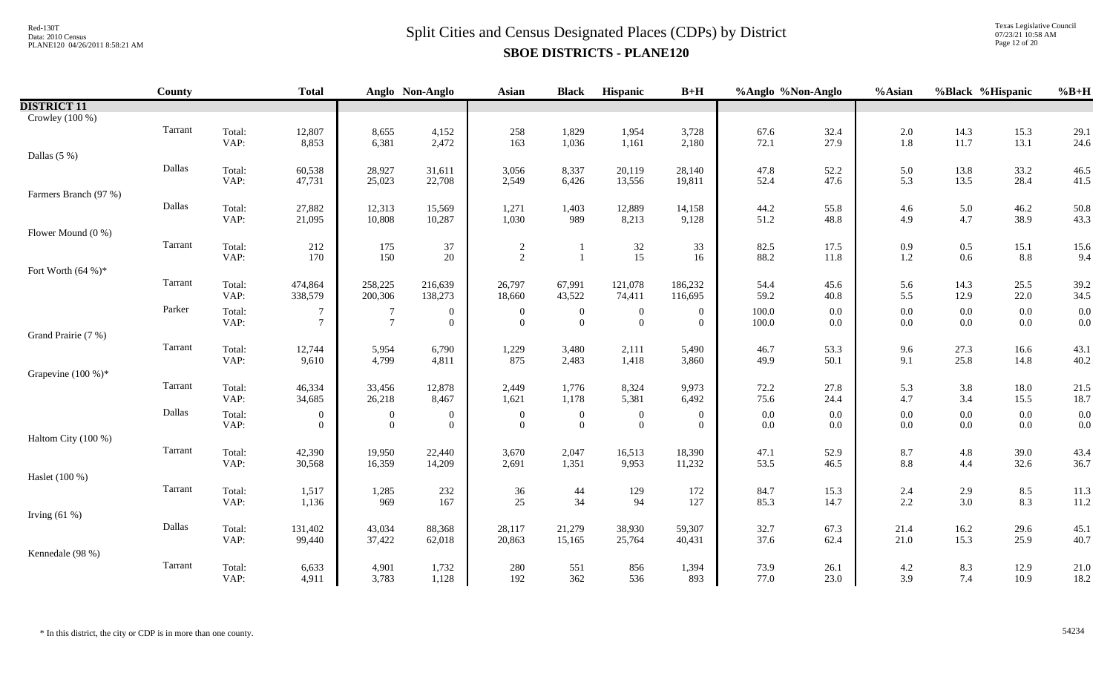Texas Legislative Council 07/23/21 10:58 AM Page 12 of 20

|                       | County  |                | <b>Total</b>     |                  | Anglo Non-Anglo  | Asian               | <b>Black</b>     | Hispanic        | $B+H$            | %Anglo %Non-Anglo |              | %Asian         | %Black %Hispanic |              | $%B+H$       |
|-----------------------|---------|----------------|------------------|------------------|------------------|---------------------|------------------|-----------------|------------------|-------------------|--------------|----------------|------------------|--------------|--------------|
| <b>DISTRICT 11</b>    |         |                |                  |                  |                  |                     |                  |                 |                  |                   |              |                |                  |              |              |
| Crowley (100 %)       |         |                |                  |                  |                  |                     |                  |                 |                  |                   |              |                |                  |              |              |
|                       | Tarrant | Total:         | 12,807           | 8,655            | 4,152            | 258                 | 1,829            | 1,954           | 3,728            | 67.6              | 32.4         | $2.0\,$        | 14.3             | 15.3         | 29.1         |
|                       |         | VAP:           | 8,853            | 6,381            | 2,472            | 163                 | 1,036            | 1,161           | 2,180            | 72.1              | 27.9         | 1.8            | 11.7             | 13.1         | 24.6         |
| Dallas $(5\%)$        |         |                |                  |                  |                  |                     |                  |                 |                  |                   |              |                |                  |              |              |
|                       | Dallas  | Total:         | 60,538           | 28,927           | 31,611           | 3,056               | 8,337            | 20,119          | 28,140           | 47.8              | 52.2         | 5.0            | 13.8             | 33.2         | 46.5         |
|                       |         | VAP:           | 47,731           | 25,023           | 22,708           | 2,549               | 6,426            | 13,556          | 19,811           | 52.4              | 47.6         | 5.3            | 13.5             | 28.4         | 41.5         |
| Farmers Branch (97 %) | Dallas  |                |                  |                  |                  |                     |                  |                 |                  |                   |              |                |                  |              |              |
|                       |         | Total:<br>VAP: | 27,882<br>21,095 | 12,313<br>10,808 | 15,569<br>10,287 | 1,271<br>1,030      | 1,403<br>989     | 12,889<br>8,213 | 14,158<br>9,128  | 44.2<br>51.2      | 55.8<br>48.8 | 4.6<br>4.9     | 5.0<br>4.7       | 46.2<br>38.9 | 50.8<br>43.3 |
| Flower Mound (0 %)    |         |                |                  |                  |                  |                     |                  |                 |                  |                   |              |                |                  |              |              |
|                       | Tarrant | Total:         | 212              | 175              | 37               |                     |                  |                 | 33               | 82.5              | 17.5         |                |                  |              |              |
|                       |         | VAP:           | 170              | 150              | 20               | $\overline{c}$<br>2 |                  | $32\,$<br>15    | 16               | 88.2              | 11.8         | 0.9<br>1.2     | 0.5<br>$0.6\,$   | 15.1<br>8.8  | 15.6<br>9.4  |
| Fort Worth $(64\%)*$  |         |                |                  |                  |                  |                     |                  |                 |                  |                   |              |                |                  |              |              |
|                       | Tarrant | Total:         | 474,864          | 258,225          | 216,639          | 26,797              | 67,991           | 121,078         | 186,232          | 54.4              | 45.6         | 5.6            | 14.3             | 25.5         | 39.2         |
|                       |         | VAP:           | 338,579          | 200,306          | 138,273          | 18,660              | 43,522           | 74,411          | 116,695          | 59.2              | 40.8         | 5.5            | 12.9             | 22.0         | 34.5         |
|                       | Parker  | Total:         | 7                | -7               | $\overline{0}$   | $\overline{0}$      | $\boldsymbol{0}$ | $\mathbf{0}$    | $\mathbf{0}$     | 100.0             | $0.0\,$      | $0.0\,$        | 0.0              | $0.0\,$      | 0.0          |
|                       |         | VAP:           | $\tau$           | $7\phantom{.0}$  | $\overline{0}$   | $\overline{0}$      | $\overline{0}$   | $\overline{0}$  | $\Omega$         | 100.0             | 0.0          | $0.0\,$        | 0.0              | $0.0\,$      | 0.0          |
| Grand Prairie (7 %)   |         |                |                  |                  |                  |                     |                  |                 |                  |                   |              |                |                  |              |              |
|                       | Tarrant | Total:         | 12,744           | 5,954            | 6,790            | 1,229               | 3,480            | 2,111           | 5,490            | 46.7              | 53.3         | 9.6            | 27.3             | 16.6         | 43.1         |
|                       |         | VAP:           | 9,610            | 4,799            | 4,811            | 875                 | 2,483            | 1,418           | 3,860            | 49.9              | 50.1         | 9.1            | 25.8             | 14.8         | 40.2         |
| Grapevine $(100\%)^*$ |         |                |                  |                  |                  |                     |                  |                 |                  |                   |              |                |                  |              |              |
|                       | Tarrant | Total:         | 46,334           | 33,456           | 12,878           | 2,449               | 1,776            | 8,324           | 9,973            | 72.2              | 27.8         | 5.3            | 3.8              | 18.0         | 21.5         |
|                       |         | VAP:           | 34,685           | 26,218           | 8,467            | 1,621               | 1,178            | 5,381           | 6,492            | 75.6              | 24.4         | 4.7            | 3.4              | 15.5         | 18.7         |
|                       | Dallas  | Total:         | $\theta$         | $\boldsymbol{0}$ | $\overline{0}$   | $\overline{0}$      | $\boldsymbol{0}$ | $\overline{0}$  | $\overline{0}$   | 0.0               | 0.0          | $0.0\,$        | $0.0\,$          | $0.0\,$      | 0.0          |
|                       |         | VAP:           | $\Omega$         | $\overline{0}$   | $\overline{0}$   | $\overline{0}$      | $\mathbf{0}$     | $\overline{0}$  | $\Omega$         | 0.0               | 0.0          | $0.0\,$        | $0.0\,$          | $0.0\,$      | 0.0          |
| Haltom City (100 %)   | Tarrant |                |                  |                  |                  |                     |                  |                 |                  |                   |              |                |                  |              |              |
|                       |         | Total:<br>VAP: | 42,390<br>30,568 | 19,950<br>16,359 | 22,440<br>14,209 | 3,670<br>2,691      | 2,047<br>1,351   | 16,513<br>9,953 | 18,390<br>11,232 | 47.1<br>53.5      | 52.9<br>46.5 | 8.7<br>$8.8\,$ | 4.8<br>4.4       | 39.0<br>32.6 | 43.4<br>36.7 |
| Haslet (100 %)        |         |                |                  |                  |                  |                     |                  |                 |                  |                   |              |                |                  |              |              |
|                       | Tarrant | Total:         | 1,517            | 1,285            | 232              | 36                  | $44$             | 129             | 172              | 84.7              | 15.3         | 2.4            | 2.9              | 8.5          | 11.3         |
|                       |         | VAP:           | 1,136            | 969              | 167              | 25                  | 34               | 94              | 127              | 85.3              | 14.7         | 2.2            | 3.0              | 8.3          | 11.2         |
| Irving $(61%)$        |         |                |                  |                  |                  |                     |                  |                 |                  |                   |              |                |                  |              |              |
|                       | Dallas  | Total:         | 131,402          | 43,034           | 88,368           | 28,117              | 21,279           | 38,930          | 59,307           | 32.7              | 67.3         | 21.4           | 16.2             | 29.6         | 45.1         |
|                       |         | VAP:           | 99,440           | 37,422           | 62,018           | 20,863              | 15,165           | 25,764          | 40,431           | 37.6              | 62.4         | 21.0           | 15.3             | 25.9         | 40.7         |
| Kennedale (98 %)      |         |                |                  |                  |                  |                     |                  |                 |                  |                   |              |                |                  |              |              |
|                       | Tarrant | Total:         | 6,633            | 4,901            | 1,732            | 280                 | 551              | 856             | 1,394            | 73.9              | 26.1         | 4.2            | 8.3              | 12.9         | 21.0         |
|                       |         | VAP:           | 4,911            | 3,783            | 1,128            | 192                 | 362              | 536             | 893              | 77.0              | 23.0         | 3.9            | 7.4              | 10.9         | 18.2         |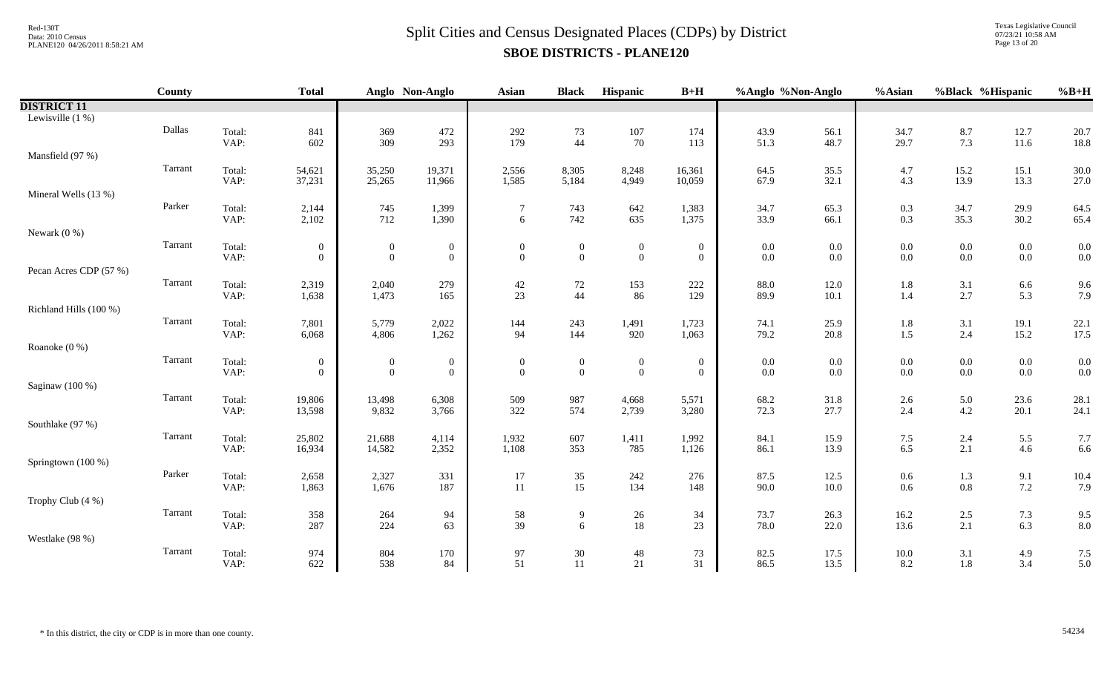Texas Legislative Council 07/23/21 10:58 AM Page 13 of 20

|                        | <b>County</b> |                | <b>Total</b>     |                  | Anglo Non-Anglo  | <b>Asian</b>     | <b>Black</b>     | Hispanic         | $B+H$          | %Anglo %Non-Anglo |              | %Asian          |                | %Black %Hispanic | $%B+H$       |
|------------------------|---------------|----------------|------------------|------------------|------------------|------------------|------------------|------------------|----------------|-------------------|--------------|-----------------|----------------|------------------|--------------|
| <b>DISTRICT 11</b>     |               |                |                  |                  |                  |                  |                  |                  |                |                   |              |                 |                |                  |              |
| Lewisville $(1%)$      |               |                |                  |                  |                  |                  |                  |                  |                |                   |              |                 |                |                  |              |
|                        | Dallas        | Total:         | 841              | 369              | 472              | 292              | $73\,$           | 107              | 174            | 43.9              | 56.1         | 34.7            | 8.7            | 12.7             | 20.7         |
|                        |               | VAP:           | 602              | 309              | 293              | 179              | 44               | 70               | 113            | 51.3              | 48.7         | 29.7            | 7.3            | $11.6\,$         | 18.8         |
| Mansfield (97 %)       |               |                |                  |                  |                  |                  |                  |                  |                |                   |              |                 |                |                  |              |
|                        | Tarrant       | Total:         | 54,621           | 35,250           | 19,371           | 2,556            | 8,305            | 8,248            | 16,361         | 64.5              | 35.5         | 4.7             | 15.2           | 15.1             | 30.0         |
|                        |               | VAP:           | 37,231           | 25,265           | 11,966           | 1,585            | 5,184            | 4,949            | 10,059         | 67.9              | 32.1         | 4.3             | 13.9           | 13.3             | 27.0         |
| Mineral Wells (13 %)   | Parker        |                |                  |                  |                  |                  |                  |                  |                |                   |              |                 |                |                  |              |
|                        |               | Total:<br>VAP: | 2,144<br>2,102   | 745<br>712       | 1,399<br>1,390   | 7<br>6           | 743<br>742       | 642<br>635       | 1,383<br>1,375 | 34.7<br>33.9      | 65.3<br>66.1 | 0.3<br>0.3      | 34.7<br>35.3   | 29.9<br>30.2     | 64.5<br>65.4 |
| Newark $(0\%)$         |               |                |                  |                  |                  |                  |                  |                  |                |                   |              |                 |                |                  |              |
|                        | Tarrant       | Total:         | $\mathbf{0}$     | $\overline{0}$   | $\overline{0}$   | $\boldsymbol{0}$ | $\boldsymbol{0}$ | $\boldsymbol{0}$ | $\mathbf{0}$   | $0.0\,$           | $0.0\,$      | $0.0\,$         | $0.0\,$        | $0.0\,$          | 0.0          |
|                        |               | VAP:           | $\overline{0}$   | $\overline{0}$   | $\overline{0}$   | $\theta$         | $\overline{0}$   | $\overline{0}$   | $\overline{0}$ | $0.0\,$           | 0.0          | $0.0\,$         | $0.0\,$        | $0.0\,$          | 0.0          |
| Pecan Acres CDP (57 %) |               |                |                  |                  |                  |                  |                  |                  |                |                   |              |                 |                |                  |              |
|                        | Tarrant       | Total:         | 2,319            | 2,040            | 279              | $42\,$           | $72\,$           | 153              | $222\,$        | 88.0              | 12.0         | 1.8             | $3.1\,$        | 6.6              | 9.6          |
|                        |               | VAP:           | 1,638            | 1,473            | 165              | 23               | 44               | 86               | 129            | 89.9              | 10.1         | 1.4             | 2.7            | 5.3              | 7.9          |
| Richland Hills (100 %) |               |                |                  |                  |                  |                  |                  |                  |                |                   |              |                 |                |                  |              |
|                        | Tarrant       | Total:         | 7,801            | 5,779            | 2,022            | 144              | 243              | 1,491            | 1,723          | 74.1              | 25.9         | 1.8             | 3.1            | 19.1             | 22.1         |
|                        |               | VAP:           | 6,068            | 4,806            | 1,262            | 94               | 144              | 920              | 1,063          | 79.2              | 20.8         | 1.5             | 2.4            | 15.2             | 17.5         |
| Roanoke (0 %)          |               |                |                  |                  |                  |                  |                  |                  |                |                   |              |                 |                |                  |              |
|                        | Tarrant       | Total:         | $\overline{0}$   | $\boldsymbol{0}$ | $\boldsymbol{0}$ | $\overline{0}$   | $\overline{0}$   | $\boldsymbol{0}$ | $\overline{0}$ | $0.0\,$           | 0.0          | $0.0\,$         | $0.0\,$        | $0.0\,$          | 0.0          |
|                        |               | VAP:           | $\overline{0}$   | $\mathbf{0}$     | $\overline{0}$   | $\mathbf{0}$     | $\overline{0}$   | $\mathbf{0}$     | $\mathbf{0}$   | $0.0\,$           | 0.0          | 0.0             | $0.0\,$        | $0.0\,$          | 0.0          |
| Saginaw (100 %)        | Tarrant       |                |                  |                  |                  |                  |                  |                  |                |                   |              |                 |                |                  |              |
|                        |               | Total:<br>VAP: | 19,806<br>13,598 | 13,498<br>9,832  | 6,308<br>3,766   | 509<br>322       | 987<br>574       | 4,668<br>2,739   | 5,571<br>3,280 | 68.2<br>72.3      | 31.8<br>27.7 | $2.6\,$<br>2.4  | 5.0<br>4.2     | 23.6<br>20.1     | 28.1<br>24.1 |
| Southlake (97 %)       |               |                |                  |                  |                  |                  |                  |                  |                |                   |              |                 |                |                  |              |
|                        | Tarrant       | Total:         | 25,802           | 21,688           | 4,114            | 1,932            | 607              | 1,411            | 1,992          | 84.1              | 15.9         | 7.5             | 2.4            | 5.5              | 7.7          |
|                        |               | VAP:           | 16,934           | 14,582           | 2,352            | 1,108            | 353              | 785              | 1,126          | 86.1              | 13.9         | 6.5             | $2.1\,$        | 4.6              | 6.6          |
| Springtown (100 %)     |               |                |                  |                  |                  |                  |                  |                  |                |                   |              |                 |                |                  |              |
|                        | Parker        | Total:         | 2,658            | 2,327            | 331              | 17               | $\frac{35}{15}$  | 242              | 276            | 87.5              | 12.5         | 0.6             | $1.3\,$        | 9.1              | 10.4         |
|                        |               | VAP:           | 1,863            | 1,676            | 187              | 11               |                  | 134              | 148            | 90.0              | 10.0         | 0.6             | $0.8\,$        | $7.2\,$          | 7.9          |
| Trophy Club (4 %)      |               |                |                  |                  |                  |                  |                  |                  |                |                   |              |                 |                |                  |              |
|                        | Tarrant       | Total:         | 358              | 264              | 94               | 58               | 9                | $26\,$           | 34             | 73.7              | 26.3         | 16.2            | $2.5\,$        | 7.3              | 9.5          |
|                        |               | VAP:           | 287              | 224              | 63               | 39               | 6                | $18\,$           | 23             | 78.0              | 22.0         | 13.6            | $2.1\,$        | $6.3\,$          | 8.0          |
| Westlake (98 %)        |               |                |                  |                  |                  |                  |                  |                  |                |                   |              |                 |                |                  |              |
|                        | Tarrant       | Total:<br>VAP: | 974<br>622       | 804<br>538       | 170<br>84        | 97<br>51         | 30<br>11         | 48<br>21         | 73<br>31       | 82.5<br>86.5      | 17.5<br>13.5 | $10.0\,$<br>8.2 | 3.1<br>$1.8\,$ | 4.9<br>3.4       | 7.5<br>5.0   |
|                        |               |                |                  |                  |                  |                  |                  |                  |                |                   |              |                 |                |                  |              |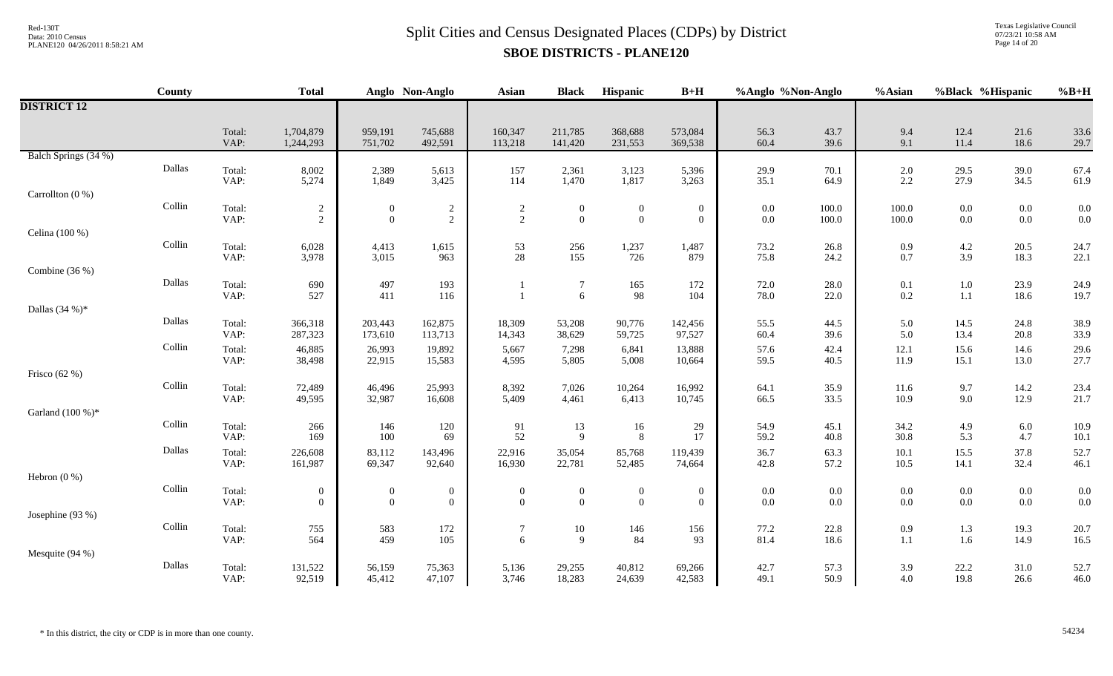Texas Legislative Council 07/23/21 10:58 AM Page 14 of 20

|                      | County                  |                | <b>Total</b>                       |                                    | Anglo Non-Anglo              | <b>Asian</b>        | <b>Black</b>                       | Hispanic                         | $B+H$                              | %Anglo %Non-Anglo |                | %Asian             |                    | %Black %Hispanic   | $%B+H$       |
|----------------------|-------------------------|----------------|------------------------------------|------------------------------------|------------------------------|---------------------|------------------------------------|----------------------------------|------------------------------------|-------------------|----------------|--------------------|--------------------|--------------------|--------------|
| <b>DISTRICT 12</b>   |                         |                |                                    |                                    |                              |                     |                                    |                                  |                                    |                   |                |                    |                    |                    |              |
|                      |                         | Total:<br>VAP: | 1,704,879<br>1,244,293             | 959,191<br>751,702                 | 745,688<br>492,591           | 160,347<br>113,218  | 211,785<br>141,420                 | 368,688<br>231,553               | 573,084<br>369,538                 | 56.3<br>60.4      | 43.7<br>39.6   | 9.4<br>9.1         | 12.4<br>11.4       | 21.6<br>18.6       | 33.6<br>29.7 |
| Balch Springs (34 %) |                         |                |                                    |                                    |                              |                     |                                    |                                  |                                    |                   |                |                    |                    |                    |              |
|                      | Dallas                  | Total:<br>VAP: | 8,002<br>5,274                     | 2,389<br>1,849                     | 5,613<br>3,425               | 157<br>114          | 2,361<br>1,470                     | 3,123<br>1,817                   | 5,396<br>3,263                     | 29.9<br>35.1      | 70.1<br>64.9   | $2.0\,$<br>2.2     | 29.5<br>27.9       | 39.0<br>34.5       | 67.4<br>61.9 |
| Carrollton $(0, % )$ |                         |                |                                    |                                    |                              |                     |                                    |                                  |                                    |                   |                |                    |                    |                    |              |
|                      | $\operatorname{Collin}$ | Total:<br>VAP: | $\boldsymbol{2}$<br>$\overline{2}$ | $\boldsymbol{0}$<br>$\overline{0}$ | $\sqrt{2}$<br>$\overline{2}$ | $\overline{c}$<br>2 | $\boldsymbol{0}$<br>$\overline{0}$ | $\boldsymbol{0}$<br>$\mathbf{0}$ | $\boldsymbol{0}$<br>$\overline{0}$ | $0.0\,$<br>0.0    | 100.0<br>100.0 | $100.0\,$<br>100.0 | $0.0\,$<br>$0.0\,$ | $0.0\,$<br>$0.0\,$ | 0.0<br>0.0   |
| Celina (100 %)       |                         |                |                                    |                                    |                              |                     |                                    |                                  |                                    |                   |                |                    |                    |                    |              |
|                      | $\operatorname{Collin}$ | Total:         | 6,028                              | 4,413                              | 1,615                        | 53                  | 256                                | 1,237                            | 1,487                              | 73.2              | 26.8           | 0.9                | 4.2                | 20.5               | 24.7         |
| Combine (36 %)       |                         | VAP:           | 3,978                              | 3,015                              | 963                          | 28                  | 155                                | 726                              | 879                                | 75.8              | 24.2           | 0.7                | 3.9                | 18.3               | 22.1         |
|                      | Dallas                  | Total:         | 690                                | 497                                | 193                          |                     | $\overline{7}$                     | 165                              | 172                                | 72.0              | 28.0           | 0.1                | $1.0\,$            | 23.9               | 24.9         |
|                      |                         | VAP:           | 527                                | 411                                | 116                          |                     | 6                                  | 98                               | 104                                | 78.0              | 22.0           | 0.2                | 1.1                | 18.6               | 19.7         |
| Dallas $(34%)$ *     | Dallas                  | Total:         | 366,318                            | 203,443                            | 162,875                      | 18,309              | 53,208                             | 90,776                           | 142,456                            | 55.5              | 44.5           | 5.0                | 14.5               | 24.8               | 38.9         |
|                      |                         | VAP:           | 287,323                            | 173,610                            | 113,713                      | 14,343              | 38,629                             | 59,725                           | 97,527                             | 60.4              | 39.6           | 5.0                | 13.4               | 20.8               | 33.9         |
|                      | Collin                  | Total:         | 46,885                             | 26,993                             | 19,892                       | 5,667               | 7,298                              | 6,841                            | 13,888                             | 57.6              | 42.4           | 12.1               | 15.6               | 14.6               | 29.6         |
| Frisco $(62%)$       |                         | VAP:           | 38,498                             | 22,915                             | 15,583                       | 4,595               | 5,805                              | 5,008                            | 10,664                             | 59.5              | 40.5           | 11.9               | 15.1               | 13.0               | 27.7         |
|                      | Collin                  | Total:         | 72,489                             | 46,496                             | 25,993                       | 8,392               | 7,026                              | 10,264                           | 16,992                             | 64.1              | 35.9           | 11.6               | 9.7                | 14.2               | 23.4         |
| Garland (100 %)*     |                         | VAP:           | 49,595                             | 32,987                             | 16,608                       | 5,409               | 4,461                              | 6,413                            | 10,745                             | 66.5              | 33.5           | 10.9               | 9.0                | 12.9               | 21.7         |
|                      | Collin                  | Total:         | 266                                | 146                                | 120                          | 91                  | 13                                 | 16                               | 29                                 | 54.9              | 45.1           | 34.2               | 4.9                | 6.0                | 10.9         |
|                      |                         | VAP:           | 169                                | 100                                | 69                           | 52                  | 9                                  | 8                                | 17                                 | 59.2              | 40.8           | 30.8               | 5.3                | 4.7                | 10.1         |
|                      | Dallas                  | Total:<br>VAP: | 226,608<br>161,987                 | 83,112<br>69,347                   | 143,496<br>92,640            | 22,916<br>16,930    | 35,054<br>22,781                   | 85,768<br>52,485                 | 119,439<br>74,664                  | 36.7<br>42.8      | 63.3<br>57.2   | 10.1<br>$10.5\,$   | 15.5<br>14.1       | 37.8<br>32.4       | 52.7<br>46.1 |
| Hebron $(0\%)$       |                         |                |                                    |                                    |                              |                     |                                    |                                  |                                    |                   |                |                    |                    |                    |              |
|                      | Collin                  | Total:         | $\boldsymbol{0}$                   | $\boldsymbol{0}$                   | $\boldsymbol{0}$             | $\boldsymbol{0}$    | $\boldsymbol{0}$                   | $\boldsymbol{0}$                 | $\boldsymbol{0}$                   | $0.0\,$           | $0.0\,$        | $0.0\,$            | $0.0\,$            | $0.0\,$            | 0.0          |
| Josephine (93 %)     |                         | VAP:           | $\overline{0}$                     | $\overline{0}$                     | $\overline{0}$               | $\Omega$            | $\overline{0}$                     | $\mathbf{0}$                     | $\overline{0}$                     | 0.0               | 0.0            | 0.0                | $0.0\,$            | $0.0\,$            | 0.0          |
|                      | Collin                  | Total:         | 755                                | 583                                | 172                          | 7                   | 10                                 | 146                              | 156                                | 77.2              | 22.8           | 0.9                | 1.3                | 19.3               | 20.7         |
|                      |                         | VAP:           | 564                                | 459                                | 105                          | 6                   | 9                                  | 84                               | 93                                 | 81.4              | 18.6           | $1.1\,$            | 1.6                | 14.9               | 16.5         |
| Mesquite (94 %)      | Dallas                  | Total:         | 131,522                            | 56,159                             | 75,363                       | 5,136               | 29,255                             | 40,812                           | 69,266                             | 42.7              | 57.3           | 3.9                | 22.2               | 31.0               | 52.7         |
|                      |                         | VAP:           | 92,519                             | 45,412                             | 47,107                       | 3,746               | 18,283                             | 24,639                           | 42,583                             | 49.1              | 50.9           | 4.0                | 19.8               | 26.6               | 46.0         |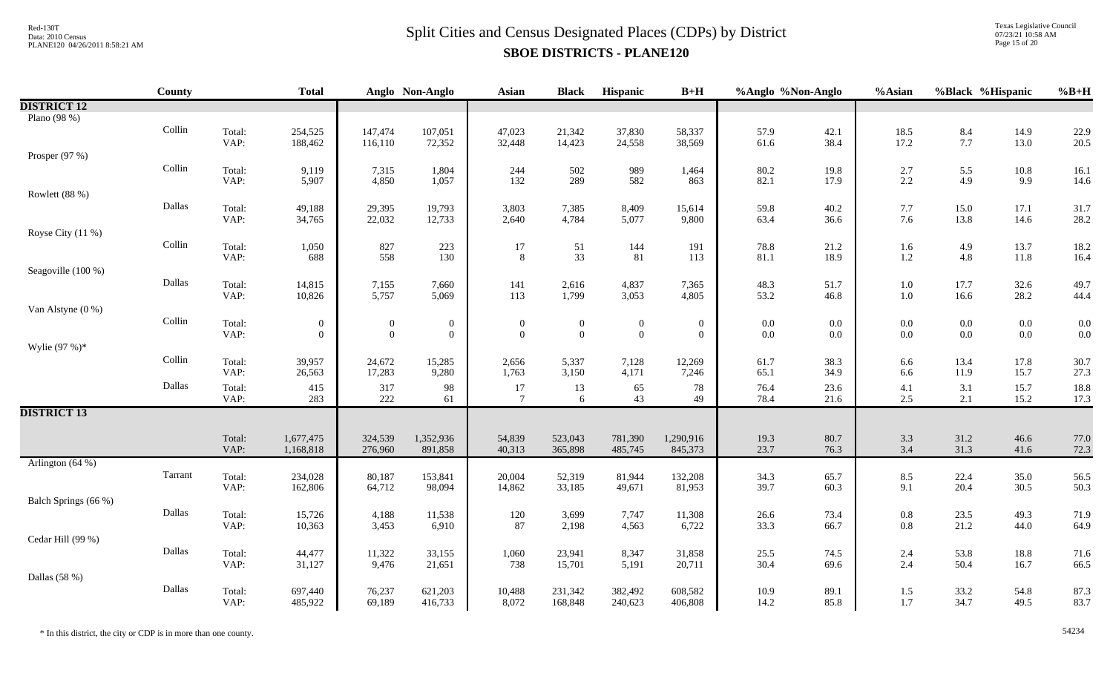Texas Legislative Council 07/23/21 10:58 AM Page 15 of 20

| <b>DISTRICT 12</b>                                                                                                                                                                                                                         |                     |
|--------------------------------------------------------------------------------------------------------------------------------------------------------------------------------------------------------------------------------------------|---------------------|
|                                                                                                                                                                                                                                            |                     |
| Plano (98 %)                                                                                                                                                                                                                               |                     |
| Collin<br>Total:<br>147,474<br>107,051<br>47,023<br>57.9<br>42.1<br>18.5<br>8.4<br>14.9<br>254,525<br>21,342<br>37,830<br>58,337                                                                                                           | 22.9                |
| 38.4<br>17.2<br>7.7<br>13.0<br>VAP:<br>116,110<br>72,352<br>32,448<br>14,423<br>24,558<br>38,569<br>61.6<br>188,462                                                                                                                        | 20.5                |
| Prosper (97 %)<br>Collin                                                                                                                                                                                                                   |                     |
| Total:<br>9,119<br>7,315<br>1,804<br>244<br>502<br>989<br>80.2<br>19.8<br>$2.7\,$<br>5.5<br>$10.8\,$<br>1,464<br>582<br>VAP:<br>5,907<br>4,850<br>1,057<br>132<br>289<br>82.1<br>17.9<br>$2.2\,$<br>4.9<br>9.9<br>863                      | 16.1<br>14.6        |
| Rowlett (88 %)                                                                                                                                                                                                                             |                     |
| Dallas<br>Total:<br>49,188<br>29,395<br>19,793<br>3,803<br>7,385<br>8,409<br>59.8<br>40.2<br>$7.7\,$<br>15.0<br>17.1<br>15,614                                                                                                             | 31.7                |
| VAP:<br>22,032<br>12,733<br>13.8<br>34,765<br>2,640<br>4,784<br>5,077<br>9,800<br>63.4<br>36.6<br>7.6<br>14.6                                                                                                                              | 28.2                |
| Royse City (11 %)                                                                                                                                                                                                                          |                     |
| Collin<br>Total:<br>827<br>223<br>51<br>144<br>4.9<br>1,050<br>17<br>191<br>78.8<br>21.2<br>1.6<br>13.7                                                                                                                                    | 18.2                |
| 558<br>VAP:<br>33<br>81<br>$1.2\,$<br>4.8<br>130<br>8<br>81.1<br>18.9<br>11.8<br>688<br>113                                                                                                                                                | 16.4                |
| Seagoville (100 %)                                                                                                                                                                                                                         |                     |
| Dallas<br>Total:<br>7,155<br>7,660<br>141<br>4,837<br>48.3<br>$1.0\,$<br>17.7<br>32.6<br>14,815<br>2,616<br>7,365<br>51.7<br>VAP:<br>10,826<br>5,757<br>5,069<br>113<br>1,799<br>4,805<br>53.2<br>46.8<br>$1.0\,$<br>16.6<br>28.2<br>3,053 | 49.7<br>44.4        |
| Van Alstyne (0 %)                                                                                                                                                                                                                          |                     |
| Collin<br>Total:<br>$\boldsymbol{0}$<br>$0.0\,$<br>$0.0\,$<br>$0.0\,$<br>$0.0\,$<br>$\boldsymbol{0}$<br>$\boldsymbol{0}$<br>$\boldsymbol{0}$<br>$\boldsymbol{0}$<br>$\boldsymbol{0}$<br>$0.0\,$<br>$\boldsymbol{0}$                        | 0.0                 |
| VAP:<br>$\overline{0}$<br>$\theta$<br>$\overline{0}$<br>$\mathbf{0}$<br>0.0<br>$0.0\,$<br>$0.0\,$<br>$\overline{0}$<br>$\theta$<br>$\overline{0}$<br>0.0<br>$0.0\,$                                                                        | 0.0                 |
| Wylie $(97%)^*$                                                                                                                                                                                                                            |                     |
| Collin<br>Total:<br>24,672<br>13.4<br>17.8<br>39,957<br>15,285<br>2,656<br>5,337<br>7,128<br>12,269<br>61.7<br>38.3<br>6.6                                                                                                                 | 30.7                |
| VAP:<br>17,283<br>9,280<br>34.9<br>6.6<br>11.9<br>15.7<br>26,563<br>1,763<br>3,150<br>4,171<br>7,246<br>65.1                                                                                                                               | 27.3                |
| Dallas<br>317<br>78<br>23.6<br>3.1<br>15.7<br>Total:<br>415<br>98<br>$17\,$<br>13<br>65<br>76.4<br>4.1                                                                                                                                     | 18.8                |
| 222<br>43<br>49<br>VAP:<br>6<br>78.4<br>2.5<br>2.1<br>15.2<br>283<br>$\tau$<br>21.6<br>61                                                                                                                                                  | 17.3                |
| <b>DISTRICT 13</b>                                                                                                                                                                                                                         |                     |
| 1,677,475<br>324,539<br>1,352,936<br>80.7<br>31.2<br>46.6<br>Total:<br>54,839<br>523,043<br>781,390<br>1,290,916<br>19.3<br>3.3                                                                                                            | 77.0                |
| 1,168,818<br>891,858<br>$3.4$<br>31.3<br>VAP:<br>276,960<br>40,313<br>365,898<br>485,745<br>845,373<br>23.7<br>76.3<br>41.6                                                                                                                | 72.3                |
| Arlington (64 %)                                                                                                                                                                                                                           |                     |
| Tarrant<br>Total:<br>234,028<br>80,187<br>20,004<br>52,319<br>8.5<br>$22.4$<br>$20.4$<br>153,841<br>81,944<br>132,208<br>34.3<br>65.7<br>35.0                                                                                              | $\frac{56.5}{50.3}$ |
| 9.1<br>64,712<br>39.7<br>30.5<br>VAP:<br>98,094<br>162,806<br>14,862<br>33,185<br>49,671<br>81,953<br>60.3                                                                                                                                 |                     |
| Balch Springs (66 %)                                                                                                                                                                                                                       |                     |
| Dallas<br>Total:<br>4,188<br>3,699<br>$0.8\,$<br>49.3<br>15,726<br>11,538<br>120<br>7,747<br>11,308<br>26.6<br>73.4<br>23.5                                                                                                                | 71.9                |
| 21.2<br>VAP:<br>3,453<br>33.3<br>$0.8\,$<br>44.0<br>10,363<br>6,910<br>87<br>2,198<br>4,563<br>6,722<br>66.7                                                                                                                               | 64.9                |
| Cedar Hill (99 %)<br>Dallas                                                                                                                                                                                                                |                     |
| Total:<br>44,477<br>11,322<br>33,155<br>1,060<br>23,941<br>8,347<br>25.5<br>74.5<br>2.4<br>53.8<br>18.8<br>31,858<br>2.4<br>VAP:<br>9,476<br>738<br>30.4<br>50.4<br>16.7<br>31,127<br>21,651<br>15,701<br>5,191<br>20,711<br>69.6          | 71.6<br>66.5        |
| Dallas (58 %)                                                                                                                                                                                                                              |                     |
| Dallas<br>697,440<br>76,237<br>621,203<br>10.9<br>89.1<br>1.5<br>33.2<br>Total:<br>10,488<br>231,342<br>382,492<br>608,582<br>54.8                                                                                                         | 87.3                |
| 69,189<br>8,072<br>1.7<br>VAP:<br>485,922<br>416,733<br>168,848<br>240,623<br>406,808<br>14.2<br>85.8<br>34.7<br>49.5                                                                                                                      | 83.7                |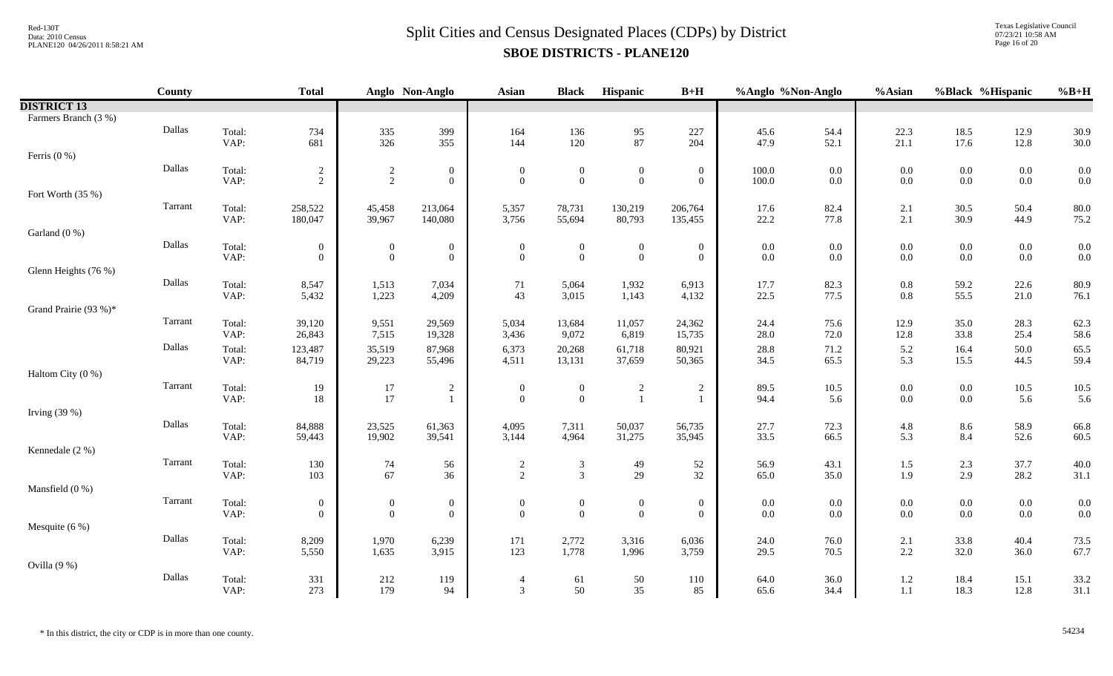Texas Legislative Council 07/23/21 10:58 AM Page 16 of 20

|                       | County  |                | <b>Total</b>       |                  | Anglo Non-Anglo    | <b>Asian</b>                   | <b>Black</b>                         | Hispanic                       | $B+H$              | %Anglo %Non-Anglo |              | %Asian             | %Black %Hispanic   |                 | $%B+H$       |
|-----------------------|---------|----------------|--------------------|------------------|--------------------|--------------------------------|--------------------------------------|--------------------------------|--------------------|-------------------|--------------|--------------------|--------------------|-----------------|--------------|
| <b>DISTRICT 13</b>    |         |                |                    |                  |                    |                                |                                      |                                |                    |                   |              |                    |                    |                 |              |
| Farmers Branch (3 %)  |         |                |                    |                  |                    |                                |                                      |                                |                    |                   |              |                    |                    |                 |              |
|                       | Dallas  | Total:         | 734                | 335              | 399                | 164                            | 136                                  | $\frac{95}{87}$                | 227                | 45.6              | 54.4         | 22.3               | 18.5               | 12.9            | 30.9         |
|                       |         | VAP:           | 681                | 326              | 355                | 144                            | 120                                  |                                | 204                | 47.9              | 52.1         | 21.1               | 17.6               | 12.8            | 30.0         |
| Ferris $(0\%)$        |         |                |                    |                  |                    |                                |                                      |                                |                    |                   |              |                    |                    |                 |              |
|                       | Dallas  | Total:         | $\overline{2}$     | $\overline{2}$   | $\boldsymbol{0}$   | $\boldsymbol{0}$               | $\boldsymbol{0}$                     | $\overline{0}$                 | $\overline{0}$     | $100.0\,$         | 0.0          | $0.0\,$            | $0.0\,$            | $0.0\,$         | 0.0          |
|                       |         | VAP:           | $\overline{2}$     | $\overline{2}$   | $\mathbf{0}$       | $\overline{0}$                 | $\boldsymbol{0}$                     | $\overline{0}$                 | $\overline{0}$     | 100.0             | $0.0\,$      | $0.0\,$            | $0.0\,$            | $0.0\,$         | 0.0          |
| Fort Worth (35 %)     | Tarrant |                |                    |                  |                    |                                |                                      |                                |                    |                   |              |                    |                    |                 |              |
|                       |         | Total:<br>VAP: | 258,522<br>180,047 | 45,458<br>39,967 | 213,064<br>140,080 | 5,357<br>3,756                 | 78,731<br>55,694                     | 130,219<br>80,793              | 206,764<br>135,455 | 17.6<br>22.2      | 82.4<br>77.8 | 2.1<br>2.1         | 30.5<br>30.9       | 50.4<br>44.9    | 80.0<br>75.2 |
| Garland (0 %)         |         |                |                    |                  |                    |                                |                                      |                                |                    |                   |              |                    |                    |                 |              |
|                       | Dallas  | Total:         | $\overline{0}$     | $\mathbf{0}$     | $\mathbf{0}$       | $\mathbf{0}$                   | $\boldsymbol{0}$                     | $\boldsymbol{0}$               | $\overline{0}$     | 0.0               | $0.0\,$      | $0.0\,$            | $0.0\,$            | $0.0\,$         | 0.0          |
|                       |         | VAP:           | $\overline{0}$     | $\overline{0}$   | $\overline{0}$     | $\overline{0}$                 | $\mathbf{0}$                         | $\overline{0}$                 | $\overline{0}$     | 0.0               | 0.0          | $0.0\,$            | 0.0                | $0.0\,$         | 0.0          |
| Glenn Heights (76 %)  |         |                |                    |                  |                    |                                |                                      |                                |                    |                   |              |                    |                    |                 |              |
|                       | Dallas  | Total:         | 8,547              | 1,513            | 7,034              | 71                             | 5,064                                | 1,932                          | 6,913              | 17.7              | 82.3         | $0.8\,$            | 59.2               | 22.6            | 80.9         |
|                       |         | VAP:           | 5,432              | 1,223            | 4,209              | 43                             | 3,015                                | 1,143                          | 4,132              | 22.5              | 77.5         | $0.8\,$            | 55.5               | 21.0            | 76.1         |
| Grand Prairie (93 %)* |         |                |                    |                  |                    |                                |                                      |                                |                    |                   |              |                    |                    |                 |              |
|                       | Tarrant | Total:         | 39,120             | 9,551            | 29,569             | 5,034                          | 13,684                               | 11,057                         | 24,362             | 24.4              | 75.6         | 12.9               | 35.0               | 28.3            | 62.3         |
|                       |         | VAP:           | 26,843             | 7,515            | 19,328             | 3,436                          | 9,072                                | 6,819                          | 15,735             | 28.0              | 72.0         | 12.8               | 33.8               | 25.4            | 58.6         |
|                       | Dallas  | Total:         | 123,487            | 35,519           | 87,968             | 6,373                          | 20,268                               | 61,718                         | 80,921             | 28.8              | 71.2         | 5.2                | 16.4               | 50.0            | 65.5         |
|                       |         | VAP:           | 84,719             | 29,223           | 55,496             | 4,511                          | 13,131                               | 37,659                         | 50,365             | 34.5              | 65.5         | 5.3                | 15.5               | 44.5            | 59.4         |
| Haltom City (0 %)     |         |                |                    |                  |                    |                                |                                      |                                |                    |                   |              |                    |                    |                 |              |
|                       | Tarrant | Total:<br>VAP: | 19                 | 17<br>17         | 2<br>$\mathbf{1}$  | $\mathbf{0}$<br>$\overline{0}$ | $\boldsymbol{0}$<br>$\boldsymbol{0}$ | $\overline{2}$<br>$\mathbf{1}$ | $\overline{2}$     | 89.5<br>94.4      | 10.5<br>5.6  | $0.0\,$<br>$0.0\,$ | $0.0\,$<br>$0.0\,$ | $10.5\,$<br>5.6 | 10.5         |
| Irving $(39%)$        |         |                | 18                 |                  |                    |                                |                                      |                                |                    |                   |              |                    |                    |                 | 5.6          |
|                       | Dallas  |                |                    |                  |                    |                                |                                      |                                |                    |                   |              |                    |                    |                 |              |
|                       |         | Total:<br>VAP: | 84,888<br>59,443   | 23,525<br>19,902 | 61,363<br>39,541   | 4,095<br>3,144                 | 7,311<br>4,964                       | 50,037<br>31,275               | 56,735<br>35,945   | 27.7<br>33.5      | 72.3<br>66.5 | $4.8\,$<br>5.3     | 8.6<br>8.4         | 58.9<br>52.6    | 66.8<br>60.5 |
| Kennedale (2 %)       |         |                |                    |                  |                    |                                |                                      |                                |                    |                   |              |                    |                    |                 |              |
|                       | Tarrant | Total:         | 130                | 74               | 56                 | $\overline{c}$                 | $\sqrt{3}$                           | 49                             | 52                 | 56.9              | 43.1         | $1.5\,$            | 2.3                | 37.7            | 40.0         |
|                       |         | VAP:           | 103                | 67               | 36                 | $\overline{2}$                 | $\mathfrak{Z}$                       | 29                             | 32                 | 65.0              | 35.0         | 1.9                | 2.9                | $28.2\,$        | 31.1         |
| Mansfield (0 %)       |         |                |                    |                  |                    |                                |                                      |                                |                    |                   |              |                    |                    |                 |              |
|                       | Tarrant | Total:         | $\overline{0}$     | $\boldsymbol{0}$ | $\boldsymbol{0}$   | $\boldsymbol{0}$               | $\boldsymbol{0}$                     | $\boldsymbol{0}$               | $\overline{0}$     | 0.0               | 0.0          | $0.0\,$            | $0.0\,$            | $0.0\,$         | 0.0          |
|                       |         | VAP:           | $\overline{0}$     | $\overline{0}$   | $\overline{0}$     | $\overline{0}$                 | $\mathbf{0}$                         | $\overline{0}$                 | $\overline{0}$     | 0.0               | 0.0          | $0.0\,$            | 0.0                | 0.0             | 0.0          |
| Mesquite (6 %)        |         |                |                    |                  |                    |                                |                                      |                                |                    |                   |              |                    |                    |                 |              |
|                       | Dallas  | Total:         | 8,209              | 1,970            | 6,239              | 171                            | 2,772                                | 3,316                          | 6,036              | 24.0              | 76.0         | 2.1                | 33.8               | 40.4            | 73.5         |
|                       |         | VAP:           | 5,550              | 1,635            | 3,915              | 123                            | 1,778                                | 1,996                          | 3,759              | 29.5              | 70.5         | 2.2                | 32.0               | 36.0            | 67.7         |
| Ovilla $(9\%)$        |         |                |                    |                  |                    |                                |                                      |                                |                    |                   |              |                    |                    |                 |              |
|                       | Dallas  | Total:         | 331                | 212              | 119                | $\overline{4}$                 | 61                                   | 50                             | 110                | 64.0              | 36.0         | $1.2\,$            | 18.4               | 15.1            | 33.2         |
|                       |         | VAP:           | 273                | 179              | 94                 | 3                              | 50                                   | 35                             | 85                 | 65.6              | 34.4         | $1.1\,$            | 18.3               | 12.8            | 31.1         |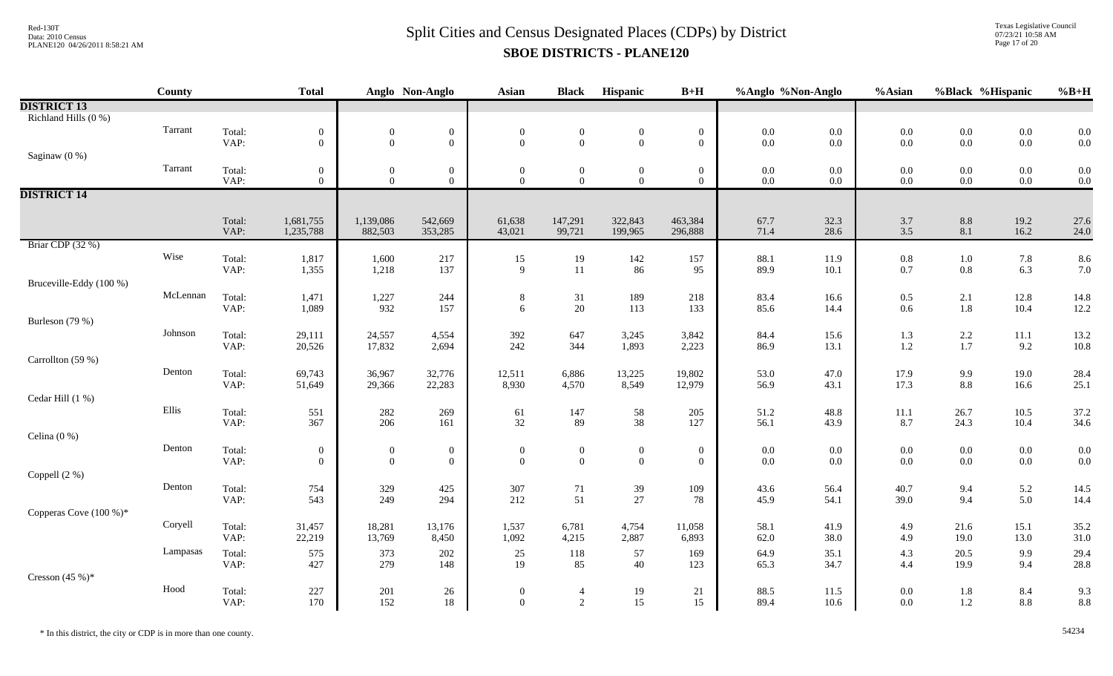Texas Legislative Council 07/23/21 10:58 AM Page 17 of 20

|                           | County   |        | <b>Total</b>   |                  | Anglo Non-Anglo  | <b>Asian</b>     | <b>Black</b>     | Hispanic         | $B+H$            | %Anglo %Non-Anglo |         | %Asian                                    |                                           | %Black %Hispanic | $\%B+H$ |
|---------------------------|----------|--------|----------------|------------------|------------------|------------------|------------------|------------------|------------------|-------------------|---------|-------------------------------------------|-------------------------------------------|------------------|---------|
| <b>DISTRICT 13</b>        |          |        |                |                  |                  |                  |                  |                  |                  |                   |         |                                           |                                           |                  |         |
| Richland Hills (0 %)      |          |        |                |                  |                  |                  |                  |                  |                  |                   |         |                                           |                                           |                  |         |
|                           | Tarrant  | Total: | $\mathbf{0}$   | $\boldsymbol{0}$ | $\boldsymbol{0}$ | $\mathbf{0}$     | $\boldsymbol{0}$ | $\mathbf{0}$     | $\boldsymbol{0}$ | $0.0\,$           | $0.0\,$ |                                           | $0.0\,$                                   | $0.0\,$          | 0.0     |
|                           |          | VAP:   | $\overline{0}$ | $\overline{0}$   | $\overline{0}$   | $\overline{0}$   | $\mathbf{0}$     | $\overline{0}$   | $\boldsymbol{0}$ | $0.0\,$           | 0.0     | $\begin{array}{c} 0.0 \\ 0.0 \end{array}$ | $0.0\,$                                   | $0.0\,$          | 0.0     |
| Saginaw (0 %)             |          |        |                |                  |                  |                  |                  |                  |                  |                   |         |                                           |                                           |                  |         |
|                           | Tarrant  | Total: | $\overline{0}$ | $\boldsymbol{0}$ | $\mathbf{0}$     | $\boldsymbol{0}$ | $\boldsymbol{0}$ | $\mathbf{0}$     | $\boldsymbol{0}$ | $0.0\,$           | 0.0     | $0.0\,$                                   | $0.0\,$                                   | $0.0\,$          | 0.0     |
|                           |          | VAP:   | $\overline{0}$ | $\overline{0}$   | $\overline{0}$   | $\overline{0}$   | $\mathbf{0}$     | $\overline{0}$   | $\overline{0}$   | $0.0\,$           | 0.0     | 0.0                                       | $0.0\,$                                   | $0.0\,$          | 0.0     |
| <b>DISTRICT 14</b>        |          |        |                |                  |                  |                  |                  |                  |                  |                   |         |                                           |                                           |                  |         |
|                           |          |        |                |                  |                  |                  |                  |                  |                  |                   |         |                                           |                                           |                  |         |
|                           |          | Total: | 1,681,755      | 1,139,086        | 542,669          | 61,638           | 147,291          | 322,843          | 463,384          | 67.7              | 32.3    | 3.7                                       | 8.8                                       | 19.2             | 27.6    |
|                           |          | VAP:   | 1,235,788      | 882,503          | 353,285          | 43,021           | 99,721           | 199,965          | 296,888          | 71.4              | 28.6    | 3.5                                       | 8.1                                       | 16.2             | 24.0    |
| Briar CDP (32 %)          |          |        |                |                  |                  |                  |                  |                  |                  |                   |         |                                           |                                           |                  |         |
|                           | Wise     | Total: | 1,817          | 1,600            | 217              | 15               | 19               | 142              | 157              | 88.1              | 11.9    |                                           |                                           | 7.8              | 8.6     |
|                           |          | VAP:   | 1,355          | 1,218            | 137              | 9                | 11               | 86               | 95               | 89.9              | 10.1    | $\begin{array}{c} 0.8 \\ 0.7 \end{array}$ | $\begin{array}{c} 1.0 \\ 0.8 \end{array}$ | 6.3              | 7.0     |
| Bruceville-Eddy (100 %)   |          |        |                |                  |                  |                  |                  |                  |                  |                   |         |                                           |                                           |                  |         |
|                           | McLennan | Total: | 1,471          | 1,227            | 244              | $8\,$            | 31               | 189              | 218              | 83.4              | 16.6    | $0.5\,$                                   | $2.1\,$                                   | 12.8             | 14.8    |
|                           |          | VAP:   | 1,089          | 932              | 157              | 6                | 20               | 113              | 133              | 85.6              | 14.4    | $0.6\,$                                   | $1.8\,$                                   | 10.4             | 12.2    |
| Burleson (79 %)           |          |        |                |                  |                  |                  |                  |                  |                  |                   |         |                                           |                                           |                  |         |
|                           | Johnson  | Total: | 29,111         | 24,557           | 4,554            | 392              | 647              | 3,245            | 3,842            | 84.4              | 15.6    | 1.3                                       | $2.2\,$                                   | $11.1\,$         | 13.2    |
|                           |          | VAP:   | 20,526         | 17,832           | 2,694            | 242              | 344              | 1,893            | 2,223            | 86.9              | 13.1    | $1.2\,$                                   | $1.7\,$                                   | 9.2              | 10.8    |
| Carrollton (59 %)         |          |        |                |                  |                  |                  |                  |                  |                  |                   |         |                                           |                                           |                  |         |
|                           | Denton   | Total: | 69,743         | 36,967           | 32,776           | 12,511           | 6,886            | 13,225           | 19,802           | 53.0              | 47.0    | 17.9                                      | 9.9                                       | 19.0             | 28.4    |
|                           |          | VAP:   | 51,649         | 29,366           | 22,283           | 8,930            | 4,570            | 8,549            | 12,979           | 56.9              | 43.1    | 17.3                                      | 8.8                                       | 16.6             | 25.1    |
| Cedar Hill (1 %)          |          |        |                |                  |                  |                  |                  |                  |                  |                   |         |                                           |                                           |                  |         |
|                           | Ellis    | Total: | 551            | 282              | 269              | 61               | 147              |                  | 205              | 51.2              | 48.8    | $11.1\,$                                  | 26.7                                      | 10.5             | 37.2    |
|                           |          | VAP:   | 367            | 206              | 161              | 32               | 89               | $\frac{58}{38}$  | 127              | 56.1              | 43.9    | 8.7                                       | 24.3                                      | 10.4             | 34.6    |
| Celina $(0\%)$            |          |        |                |                  |                  |                  |                  |                  |                  |                   |         |                                           |                                           |                  |         |
|                           | Denton   | Total: | $\overline{0}$ | $\boldsymbol{0}$ | $\boldsymbol{0}$ | $\boldsymbol{0}$ | $\boldsymbol{0}$ | $\boldsymbol{0}$ | $\boldsymbol{0}$ | $0.0\,$           | 0.0     | $0.0\,$                                   | $0.0\,$                                   | $0.0\,$          | 0.0     |
|                           |          | VAP:   | $\overline{0}$ | $\boldsymbol{0}$ | $\boldsymbol{0}$ | $\mathbf{0}$     | $\mathbf{0}$     | $\boldsymbol{0}$ | $\overline{0}$   | $0.0\,$           | 0.0     | $0.0\,$                                   | $0.0\,$                                   | $0.0\,$          | 0.0     |
| Coppell (2 %)             |          |        |                |                  |                  |                  |                  |                  |                  |                   |         |                                           |                                           |                  |         |
|                           | Denton   | Total: | 754            | 329              | 425              | 307              | 71               | 39               | 109              | 43.6              | 56.4    | 40.7                                      | 9.4                                       | 5.2              | 14.5    |
|                           |          | VAP:   | 543            | 249              | 294              | 212              | 51               | 27               | 78               | 45.9              | 54.1    | 39.0                                      | 9.4                                       | 5.0              | 14.4    |
| Copperas Cove $(100\%)^*$ |          |        |                |                  |                  |                  |                  |                  |                  |                   |         |                                           |                                           |                  |         |
|                           | Coryell  | Total: | 31,457         | 18,281           | 13,176           | 1,537            | 6,781            | 4,754            | 11,058           | 58.1              | 41.9    | 4.9                                       | 21.6                                      | 15.1             | 35.2    |
|                           |          | VAP:   | 22,219         | 13,769           | 8,450            | 1,092            | 4,215            | 2,887            | 6,893            | 62.0              | 38.0    | 4.9                                       | 19.0                                      | 13.0             | 31.0    |
|                           | Lampasas | Total: | 575            | 373              | 202              | 25               | 118              | 57               | 169              | 64.9              | 35.1    | 4.3                                       | 20.5                                      | 9.9              | 29.4    |
|                           |          | VAP:   | 427            | 279              | 148              | 19               | 85               | 40               | 123              | 65.3              | 34.7    | 4.4                                       | 19.9                                      | 9.4              | 28.8    |
| Cresson $(45\%)^*$        |          |        |                |                  |                  |                  |                  |                  |                  |                   |         |                                           |                                           |                  |         |
|                           | Hood     | Total: | 227            | 201              | 26               | $\overline{0}$   | $\overline{4}$   | 19               | 21               | 88.5              | 11.5    | $0.0\,$                                   | $1.8\,$                                   | 8.4              | 9.3     |
|                           |          | VAP:   | 170            | 152              | 18               | $\overline{0}$   | 2                | 15               | 15               | 89.4              | 10.6    | $0.0\,$                                   | $1.2\,$                                   | $8.8\,$          | 8.8     |
|                           |          |        |                |                  |                  |                  |                  |                  |                  |                   |         |                                           |                                           |                  |         |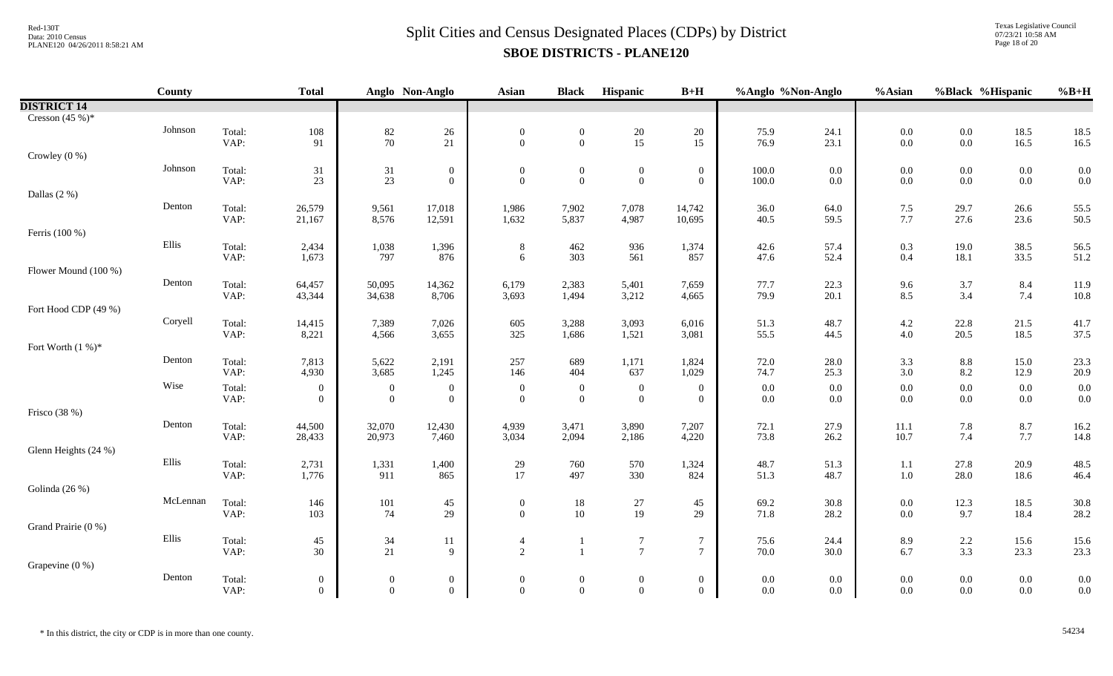Texas Legislative Council 07/23/21 10:58 AM Page 18 of 20

|                      | County   |                | <b>Total</b>               |                                      | Anglo Non-Anglo                  | <b>Asian</b>                     | <b>Black</b>                            | Hispanic                                | $B+H$                        | %Anglo %Non-Anglo  |                    | %Asian     | %Black %Hispanic   |                    | $%B+H$       |
|----------------------|----------|----------------|----------------------------|--------------------------------------|----------------------------------|----------------------------------|-----------------------------------------|-----------------------------------------|------------------------------|--------------------|--------------------|------------|--------------------|--------------------|--------------|
| <b>DISTRICT 14</b>   |          |                |                            |                                      |                                  |                                  |                                         |                                         |                              |                    |                    |            |                    |                    |              |
| Cresson $(45%)$ *    |          |                |                            |                                      |                                  |                                  |                                         |                                         |                              |                    |                    |            |                    |                    |              |
|                      | Johnson  | Total:         | $108\,$                    | $82\,$                               | $26\,$                           | $\boldsymbol{0}$                 | $\boldsymbol{0}$                        | $\begin{array}{c} 20 \\ 15 \end{array}$ | 20                           | 75.9               | 24.1               | 0.0        | $0.0\,$            | 18.5               | 18.5         |
|                      |          | VAP:           | 91                         | $70\,$                               | 21                               | $\overline{0}$                   | $\overline{0}$                          |                                         | 15                           | 76.9               | 23.1               | 0.0        | $0.0\,$            | 16.5               | 16.5         |
| Crowley $(0\%)$      |          |                |                            |                                      |                                  |                                  |                                         |                                         |                              |                    |                    |            |                    |                    |              |
|                      | Johnson  | Total:         | 31                         | 31                                   | $\boldsymbol{0}$                 | $\boldsymbol{0}$                 | $\overline{0}$                          | $\boldsymbol{0}$                        | $\boldsymbol{0}$             | $100.0\,$          | $0.0\,$            | $0.0\,$    | $0.0\,$            | $0.0\,$            | 0.0          |
|                      |          | VAP:           | 23                         | 23                                   | $\overline{0}$                   | $\overline{0}$                   | $\overline{0}$                          | $\overline{0}$                          | $\mathbf{0}$                 | 100.0              | $0.0\,$            | 0.0        | $0.0\,$            | $0.0\,$            | 0.0          |
| Dallas $(2%)$        |          |                |                            |                                      |                                  |                                  |                                         |                                         |                              |                    |                    |            |                    |                    |              |
|                      | Denton   | Total:         | 26,579                     | 9,561                                | 17,018                           | 1,986                            | 7,902                                   | 7,078                                   | 14,742                       | 36.0               | 64.0               | 7.5        | 29.7               | 26.6               | 55.5         |
|                      |          | VAP:           | 21,167                     | 8,576                                | 12,591                           | 1,632                            | 5,837                                   | 4,987                                   | 10,695                       | 40.5               | 59.5               | 7.7        | 27.6               | 23.6               | 50.5         |
| Ferris (100 %)       |          |                |                            |                                      |                                  |                                  |                                         |                                         |                              |                    |                    |            |                    |                    |              |
|                      | Ellis    | Total:         | 2,434                      | 1,038                                | 1,396                            | $8\,$                            | 462                                     | 936                                     | 1,374                        | 42.6               | 57.4               | 0.3        | 19.0               | 38.5               | 56.5         |
|                      |          | VAP:           | 1,673                      | 797                                  | 876                              | 6                                | 303                                     | 561                                     | 857                          | 47.6               | 52.4               | $0.4\,$    | 18.1               | 33.5               | 51.2         |
| Flower Mound (100 %) |          |                |                            |                                      |                                  |                                  |                                         |                                         |                              |                    |                    |            |                    |                    |              |
|                      | Denton   | Total:         | 64,457                     | 50,095                               | 14,362                           | 6,179                            | 2,383                                   | 5,401                                   | 7,659                        | 77.7               | 22.3               | 9.6        | $3.7\,$            | 8.4                | 11.9         |
|                      |          | VAP:           | 43,344                     | 34,638                               | 8,706                            | 3,693                            | 1,494                                   | 3,212                                   | 4,665                        | 79.9               | 20.1               | 8.5        | 3.4                | 7.4                | 10.8         |
| Fort Hood CDP (49 %) | Coryell  |                |                            |                                      |                                  |                                  |                                         |                                         |                              |                    |                    |            |                    |                    |              |
|                      |          | Total:<br>VAP: | 14,415<br>8,221            | 7,389<br>4,566                       | 7,026<br>3,655                   | 605<br>325                       | 3,288<br>1,686                          | 3,093<br>1,521                          | 6,016<br>3,081               | 51.3<br>55.5       | 48.7<br>44.5       | 4.2<br>4.0 | 22.8<br>20.5       | 21.5<br>18.5       | 41.7<br>37.5 |
| Fort Worth $(1%)^*$  |          |                |                            |                                      |                                  |                                  |                                         |                                         |                              |                    |                    |            |                    |                    |              |
|                      | Denton   |                |                            |                                      |                                  |                                  |                                         |                                         |                              |                    |                    |            |                    |                    |              |
|                      |          | Total:<br>VAP: | 7,813<br>4,930             | 5,622<br>3,685                       | 2,191<br>1,245                   | 257<br>146                       | 689<br>404                              | 1,171<br>637                            | 1,824<br>1,029               | 72.0<br>74.7       | 28.0<br>25.3       | 3.3<br>3.0 | 8.8<br>8.2         | 15.0<br>12.9       | 23.3<br>20.9 |
|                      | Wise     |                |                            |                                      |                                  |                                  |                                         |                                         |                              |                    |                    |            |                    |                    |              |
|                      |          | Total:<br>VAP: | $\bf{0}$<br>$\overline{0}$ | $\boldsymbol{0}$<br>$\boldsymbol{0}$ | $\overline{0}$<br>$\overline{0}$ | $\overline{0}$<br>$\overline{0}$ | $\boldsymbol{0}$<br>$\overline{0}$      | $\boldsymbol{0}$<br>$\overline{0}$      | $\mathbf{0}$<br>$\mathbf{0}$ | $0.0\,$<br>$0.0\,$ | $0.0\,$<br>$0.0\,$ | 0.0<br>0.0 | $0.0\,$<br>$0.0\,$ | $0.0\,$<br>$0.0\,$ | 0.0<br>0.0   |
| Frisco $(38%)$       |          |                |                            |                                      |                                  |                                  |                                         |                                         |                              |                    |                    |            |                    |                    |              |
|                      | Denton   | Total:         | 44,500                     | 32,070                               | 12,430                           | 4,939                            | 3,471                                   | 3,890                                   | 7,207                        | 72.1               | 27.9               | 11.1       | 7.8                | $8.7\,$            | 16.2         |
|                      |          | VAP:           | 28,433                     | 20,973                               | 7,460                            | 3,034                            | 2,094                                   | 2,186                                   | 4,220                        | 73.8               | 26.2               | 10.7       | 7.4                | $7.7\,$            | 14.8         |
| Glenn Heights (24 %) |          |                |                            |                                      |                                  |                                  |                                         |                                         |                              |                    |                    |            |                    |                    |              |
|                      | Ellis    | Total:         | 2,731                      | 1,331                                | 1,400                            | 29                               | 760                                     | 570                                     | 1,324                        | 48.7               | 51.3               | 1.1        | 27.8               | 20.9               | 48.5         |
|                      |          | VAP:           | 1,776                      | 911                                  | 865                              | 17                               | 497                                     | 330                                     | 824                          | 51.3               | 48.7               | $1.0\,$    | 28.0               | 18.6               | 46.4         |
| Golinda (26 %)       |          |                |                            |                                      |                                  |                                  |                                         |                                         |                              |                    |                    |            |                    |                    |              |
|                      | McLennan | Total:         | 146                        | 101                                  | 45                               | $\overline{0}$                   |                                         | $27\,$                                  | 45                           | 69.2               | 30.8               | 0.0        | 12.3               | 18.5               | 30.8         |
|                      |          | VAP:           | 103                        | 74                                   | 29                               | $\overline{0}$                   | $\begin{array}{c} 18 \\ 10 \end{array}$ | 19                                      | 29                           | 71.8               | 28.2               | 0.0        | 9.7                | 18.4               | 28.2         |
| Grand Prairie (0 %)  |          |                |                            |                                      |                                  |                                  |                                         |                                         |                              |                    |                    |            |                    |                    |              |
|                      | Ellis    | Total:         | $45\,$                     |                                      | 11                               | $\overline{4}$                   | -1                                      | $\boldsymbol{7}$                        | $\boldsymbol{7}$             | 75.6               | 24.4               | 8.9        | $2.2\,$            | 15.6               | 15.6         |
|                      |          | VAP:           | 30                         | $\frac{34}{21}$                      | 9                                | $\overline{2}$                   | $\mathbf{1}$                            | $\overline{7}$                          | $\overline{7}$               | 70.0               | 30.0               | 6.7        | 3.3                | 23.3               | 23.3         |
| Grapevine $(0\%)$    |          |                |                            |                                      |                                  |                                  |                                         |                                         |                              |                    |                    |            |                    |                    |              |
|                      | Denton   | Total:         | $\overline{0}$             | $\boldsymbol{0}$                     | $\overline{0}$                   | $\boldsymbol{0}$                 | $\overline{0}$                          | $\boldsymbol{0}$                        | $\boldsymbol{0}$             | $0.0\,$            | 0.0                | 0.0        | $0.0\,$            | $0.0\,$            | 0.0          |
|                      |          | VAP:           | $\overline{0}$             | $\overline{0}$                       | $\overline{0}$                   | $\theta$                         | $\overline{0}$                          | $\overline{0}$                          | $\theta$                     | $0.0\,$            | $0.0\,$            | 0.0        | $0.0\,$            | $0.0\,$            | 0.0          |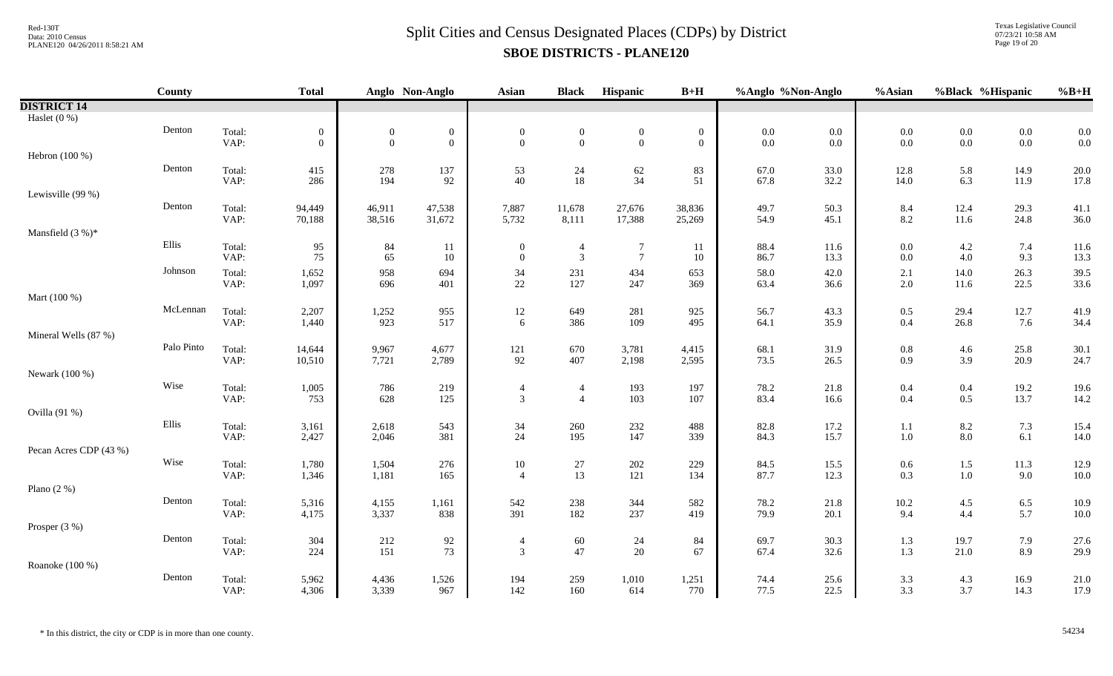Texas Legislative Council 07/23/21 10:58 AM Page 19 of 20

|                        | County     |                | <b>Total</b>     |                  | Anglo Non-Anglo   | <b>Asian</b>     | <b>Black</b>     | Hispanic         | $B+H$            | %Anglo %Non-Anglo |              | %Asian                                    | %Black %Hispanic |                | $%B+H$           |
|------------------------|------------|----------------|------------------|------------------|-------------------|------------------|------------------|------------------|------------------|-------------------|--------------|-------------------------------------------|------------------|----------------|------------------|
| <b>DISTRICT 14</b>     |            |                |                  |                  |                   |                  |                  |                  |                  |                   |              |                                           |                  |                |                  |
| Haslet $(0\%)$         |            |                |                  |                  |                   |                  |                  |                  |                  |                   |              |                                           |                  |                |                  |
|                        | Denton     | Total:         | $\boldsymbol{0}$ | $\boldsymbol{0}$ | $\boldsymbol{0}$  | $\mathbf{0}$     | $\boldsymbol{0}$ | $\boldsymbol{0}$ | $\boldsymbol{0}$ | $0.0\,$           | $0.0\,$      | $0.0\,$                                   | $0.0\,$          | $0.0\,$        | 0.0              |
|                        |            | VAP:           | $\overline{0}$   | $\overline{0}$   | $\mathbf{0}$      | $\theta$         | $\overline{0}$   | $\mathbf{0}$     | $\mathbf{0}$     | 0.0               | 0.0          | 0.0                                       | $0.0\,$          | $0.0\,$        | 0.0              |
| Hebron (100 %)         |            |                |                  |                  |                   |                  |                  |                  |                  |                   |              |                                           |                  |                |                  |
|                        | Denton     | Total:<br>VAP: | 415<br>286       | $278\,$<br>194   | 137<br>92         | 53<br>40         | $\frac{24}{18}$  | $62$<br>34       | 83<br>51         | 67.0              | 33.0<br>32.2 | $12.8\,$<br>14.0                          | 5.8<br>6.3       | 14.9<br>11.9   | 20.0<br>17.8     |
| Lewisville (99 %)      |            |                |                  |                  |                   |                  |                  |                  |                  | 67.8              |              |                                           |                  |                |                  |
|                        | Denton     | Total:         | 94,449           | 46,911           | 47,538            | 7,887            | 11,678           | 27,676           | 38,836           | 49.7              | 50.3         |                                           | 12.4             | 29.3           | 41.1             |
|                        |            | VAP:           | 70,188           | 38,516           | 31,672            | 5,732            | 8,111            | 17,388           | 25,269           | 54.9              | 45.1         | $8.4$<br>$8.2$                            | $11.6\,$         | 24.8           | 36.0             |
| Mansfield $(3%)^*$     |            |                |                  |                  |                   |                  |                  |                  |                  |                   |              |                                           |                  |                |                  |
|                        | Ellis      | Total:         | 95               | 84               | 11                | $\boldsymbol{0}$ | $\overline{4}$   | $\overline{7}$   | 11               | 88.4              | 11.6         | $0.0\,$                                   | $4.2\,$          | 7.4            | 11.6             |
|                        |            | VAP:           | 75               | 65               | $10\,$            | $\boldsymbol{0}$ | $\overline{3}$   | $7\phantom{.0}$  | 10               | 86.7              | 13.3         | $0.0\,$                                   | 4.0              | 9.3            | 13.3             |
|                        | Johnson    | Total:         | 1,652            | 958              | 694               | 34               | 231              | 434              | 653              | 58.0              | 42.0         | 2.1                                       | 14.0             | 26.3           | 39.5             |
|                        |            | VAP:           | 1,097            | 696              | 401               | $22\,$           | 127              | 247              | 369              | 63.4              | 36.6         | $2.0\,$                                   | 11.6             | 22.5           | 33.6             |
| Mart (100 %)           |            |                |                  |                  |                   |                  |                  |                  |                  |                   |              |                                           |                  |                |                  |
|                        | McLennan   | Total:         | 2,207            | 1,252            | 955               | 12               | 649              | 281              | 925              | 56.7              | 43.3         | $0.5\,$                                   | 29.4             | 12.7           | 41.9             |
|                        |            | VAP:           | 1,440            | 923              | 517               | 6                | 386              | 109              | 495              | 64.1              | 35.9         | 0.4                                       | 26.8             | 7.6            | 34.4             |
| Mineral Wells (87 %)   |            |                |                  |                  |                   |                  |                  |                  |                  |                   |              |                                           |                  |                |                  |
|                        | Palo Pinto | Total:<br>VAP: | 14,644<br>10,510 | 9,967<br>7,721   | 4,677<br>2,789    | $121\,$<br>92    | 670<br>407       | 3,781<br>2,198   | 4,415<br>2,595   | 68.1<br>73.5      | 31.9<br>26.5 | $\begin{array}{c} 0.8 \\ 0.9 \end{array}$ | 4.6<br>3.9       | 25.8<br>20.9   | $30.1\,$<br>24.7 |
| Newark (100 %)         |            |                |                  |                  |                   |                  |                  |                  |                  |                   |              |                                           |                  |                |                  |
|                        | Wise       | Total:         | 1,005            | 786              |                   | $\overline{4}$   | $\overline{4}$   | 193              | 197              | 78.2              | 21.8         | 0.4                                       | 0.4              | 19.2           | 19.6             |
|                        |            | VAP:           | 753              | 628              | $\frac{219}{125}$ | $\mathfrak{Z}$   | $\overline{4}$   | 103              | 107              | 83.4              | 16.6         | 0.4                                       | $0.5\,$          | 13.7           | 14.2             |
| Ovilla (91 %)          |            |                |                  |                  |                   |                  |                  |                  |                  |                   |              |                                           |                  |                |                  |
|                        | Ellis      | Total:         | 3,161            | 2,618            | 543               | 34               | 260              | 232              | 488              | 82.8              | 17.2         | 1.1                                       | 8.2              | 7.3            | 15.4             |
|                        |            | VAP:           | 2,427            | 2,046            | 381               | 24               | 195              | 147              | 339              | 84.3              | 15.7         | 1.0                                       | $8.0\,$          | 6.1            | 14.0             |
| Pecan Acres CDP (43 %) |            |                |                  |                  |                   |                  |                  |                  |                  |                   |              |                                           |                  |                |                  |
|                        | Wise       | Total:         | 1,780            | 1,504            | 276               | $10\,$           | $27\,$           | $202\,$          | 229              | 84.5              | 15.5         | $0.6\,$                                   | $1.5\,$          | 11.3           | 12.9             |
|                        |            | VAP:           | 1,346            | 1,181            | 165               | $\overline{4}$   | 13               | 121              | 134              | 87.7              | 12.3         | 0.3                                       | $1.0\,$          | 9.0            | 10.0             |
| Plano $(2 \%)$         |            |                |                  |                  |                   |                  |                  |                  |                  |                   |              |                                           |                  |                |                  |
|                        | Denton     | Total:<br>VAP: | 5,316<br>4,175   | 4,155<br>3,337   | 1,161<br>838      | 542<br>391       | 238<br>182       | 344<br>237       | 582<br>419       | 78.2<br>79.9      | 21.8<br>20.1 | $10.2\,$<br>9.4                           | $4.5\,$<br>4.4   | $6.5\,$<br>5.7 | 10.9<br>10.0     |
| Prosper (3 %)          |            |                |                  |                  |                   |                  |                  |                  |                  |                   |              |                                           |                  |                |                  |
|                        | Denton     | Total:         | 304              | 212              |                   | $\overline{4}$   |                  |                  | 84               | 69.7              | 30.3         |                                           | 19.7             |                | 27.6             |
|                        |            | VAP:           | 224              | 151              | $\frac{92}{73}$   | 3                | $60\,$<br>47     | $24\,$<br>20     | 67               | 67.4              | 32.6         | 1.3<br>1.3                                | $21.0\,$         | 7.9<br>8.9     | 29.9             |
| Roanoke (100 %)        |            |                |                  |                  |                   |                  |                  |                  |                  |                   |              |                                           |                  |                |                  |
|                        | Denton     | Total:         | 5,962            | 4,436            | 1,526             | 194              | 259              | 1,010            | 1,251            | 74.4              | 25.6         |                                           | 4.3              | 16.9           | 21.0             |
|                        |            | VAP:           | 4,306            | 3,339            | 967               | 142              | 160              | 614              | 770              | 77.5              | 22.5         | $3.3$<br>$3.3$                            | 3.7              | 14.3           | 17.9             |